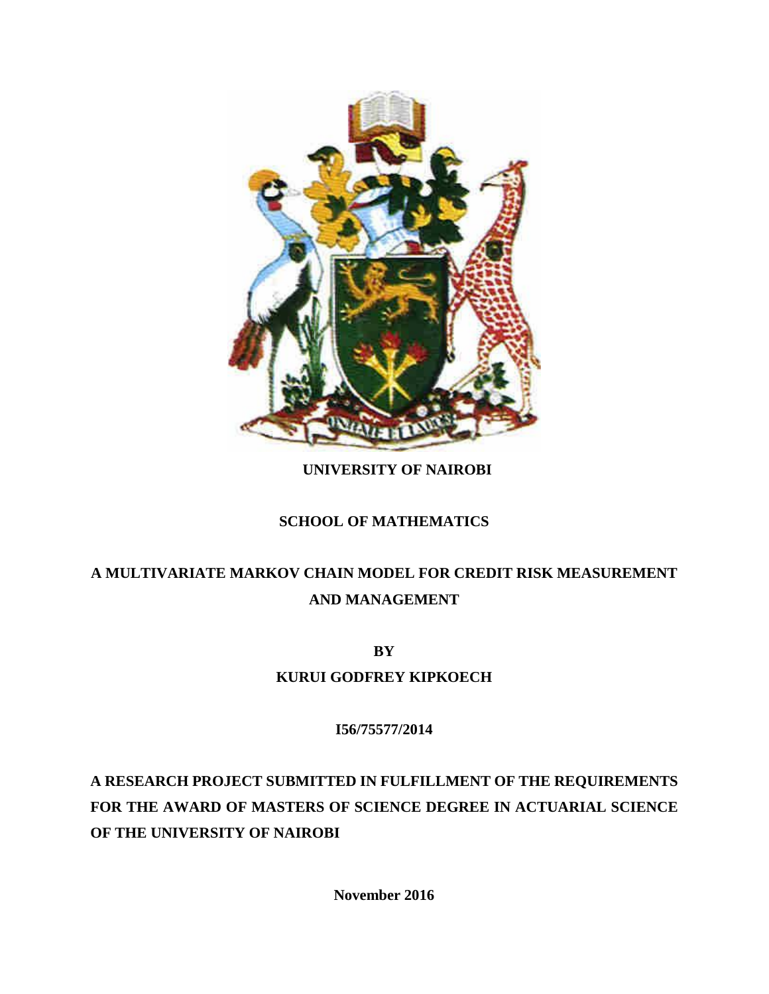

## **UNIVERSITY OF NAIROBI**

## **SCHOOL OF MATHEMATICS**

# **A MULTIVARIATE MARKOV CHAIN MODEL FOR CREDIT RISK MEASUREMENT AND MANAGEMENT**

**BY**

**KURUI GODFREY KIPKOECH**

**I56/75577/2014**

**A RESEARCH PROJECT SUBMITTED IN FULFILLMENT OF THE REQUIREMENTS FOR THE AWARD OF MASTERS OF SCIENCE DEGREE IN ACTUARIAL SCIENCE OF THE UNIVERSITY OF NAIROBI**

**November 2016**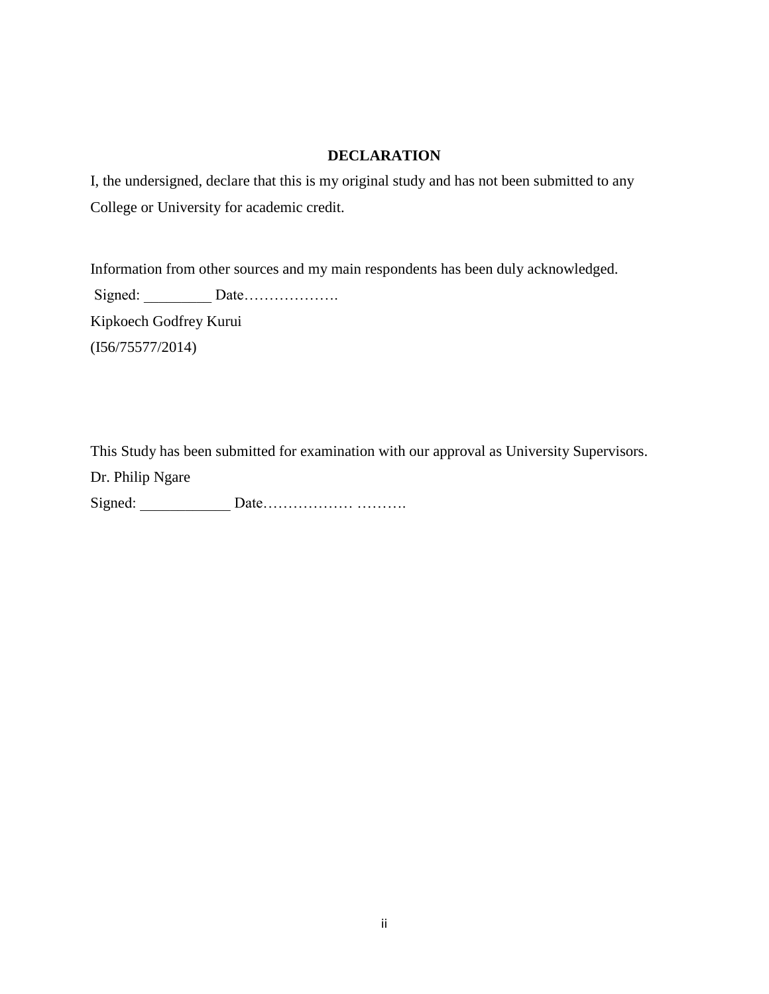## **DECLARATION**

<span id="page-1-0"></span>I, the undersigned, declare that this is my original study and has not been submitted to any College or University for academic credit.

Information from other sources and my main respondents has been duly acknowledged. Signed: Date………………… Kipkoech Godfrey Kurui (I56/75577/2014)

This Study has been submitted for examination with our approval as University Supervisors.

Dr. Philip Ngare

Signed: \_\_\_\_\_\_\_\_\_\_\_\_ Date……………… ……….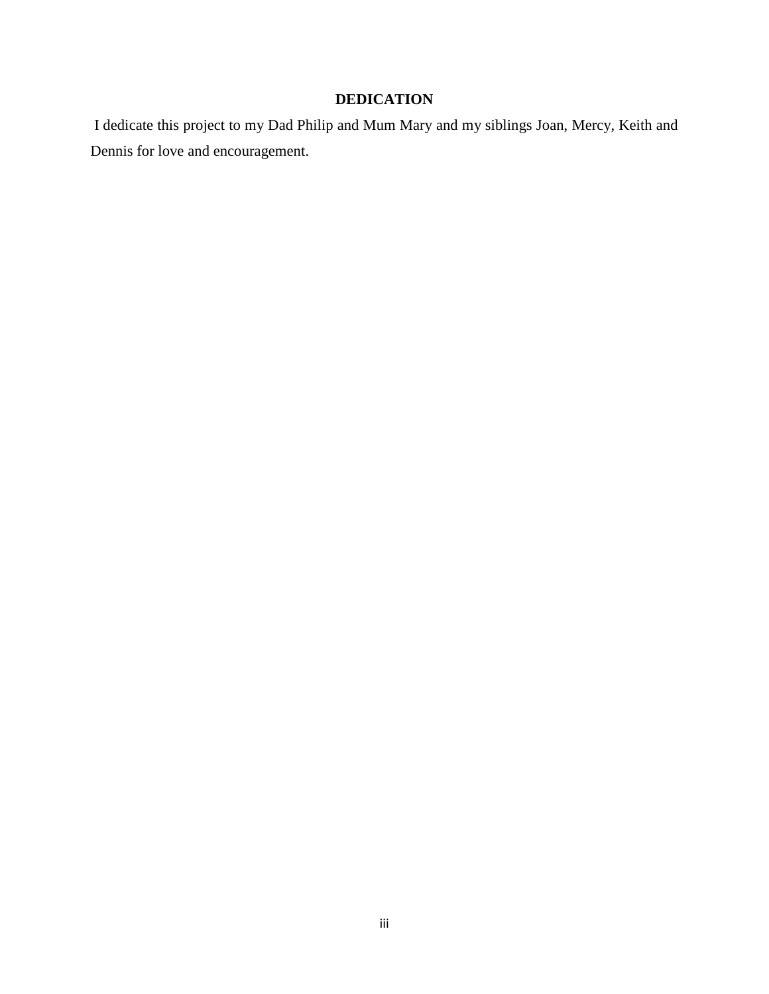## **DEDICATION**

<span id="page-2-0"></span>I dedicate this project to my Dad Philip and Mum Mary and my siblings Joan, Mercy, Keith and Dennis for love and encouragement.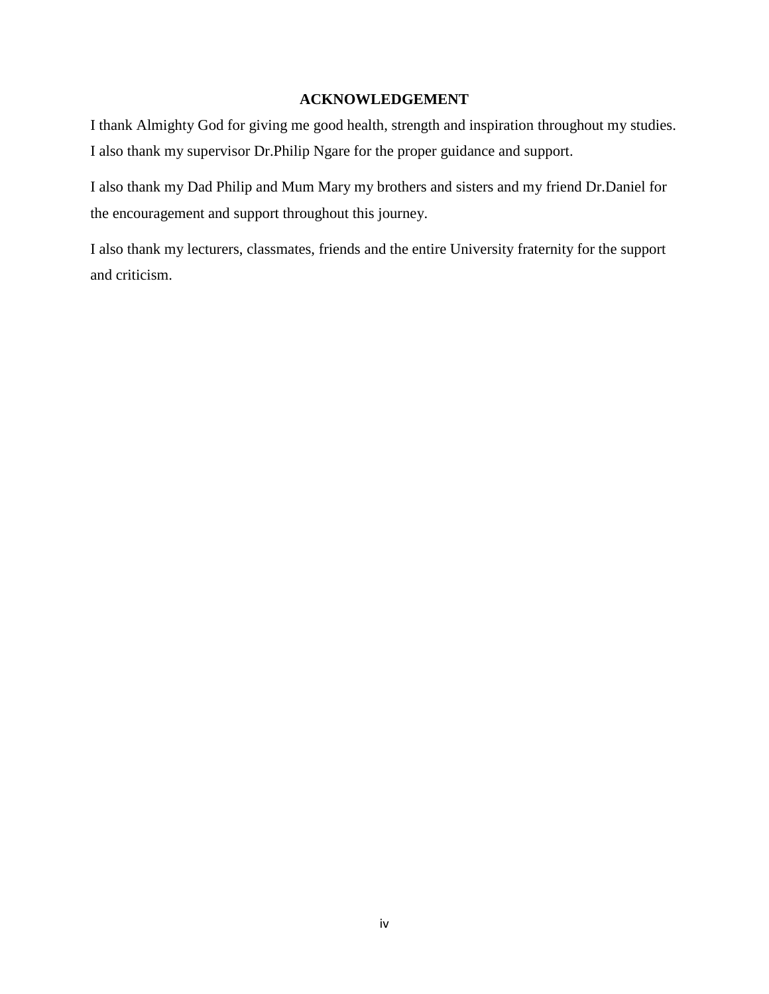## **ACKNOWLEDGEMENT**

<span id="page-3-0"></span>I thank Almighty God for giving me good health, strength and inspiration throughout my studies. I also thank my supervisor Dr.Philip Ngare for the proper guidance and support.

I also thank my Dad Philip and Mum Mary my brothers and sisters and my friend Dr.Daniel for the encouragement and support throughout this journey.

I also thank my lecturers, classmates, friends and the entire University fraternity for the support and criticism.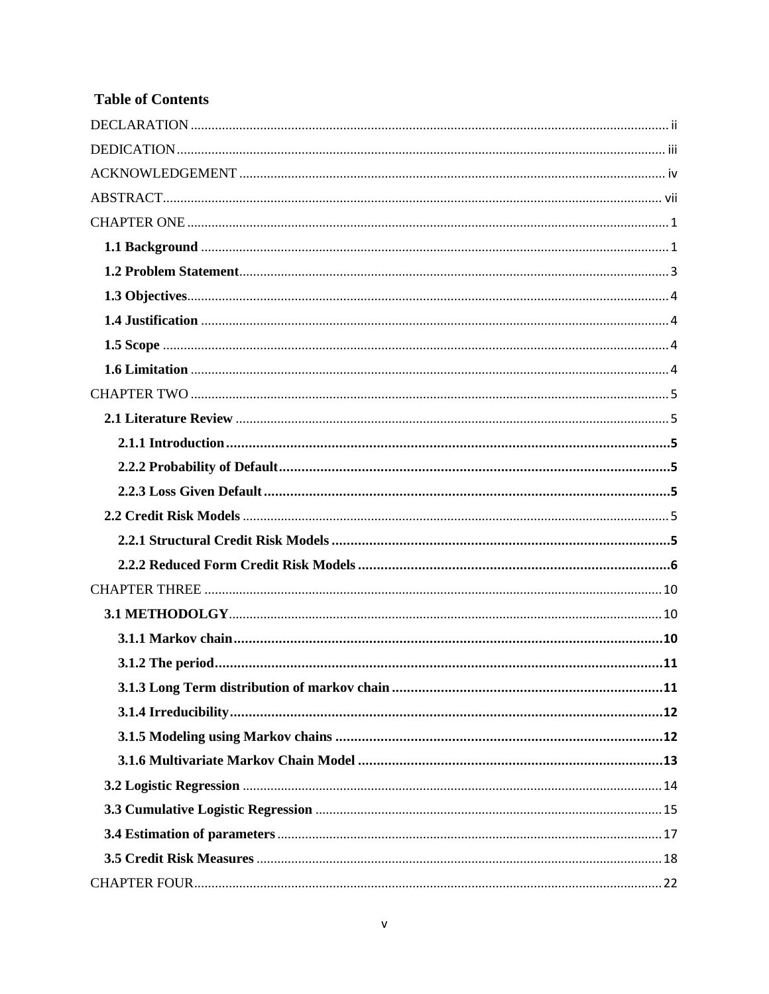## **Table of Contents**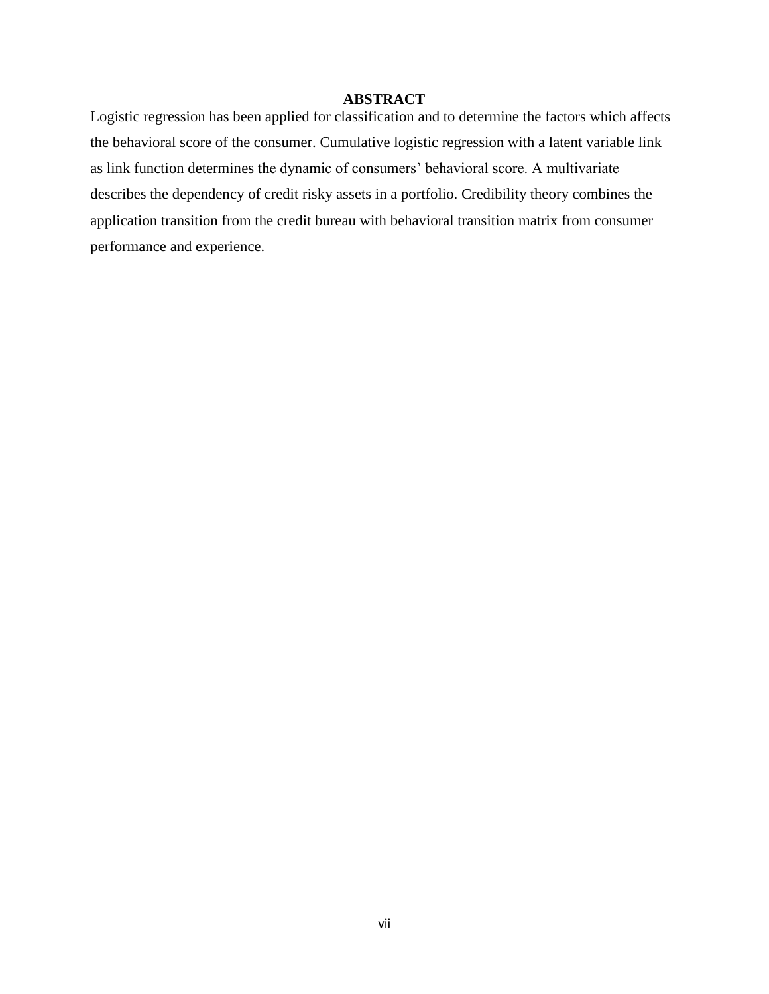## **ABSTRACT**

<span id="page-6-0"></span>Logistic regression has been applied for classification and to determine the factors which affects the behavioral score of the consumer. Cumulative logistic regression with a latent variable link as link function determines the dynamic of consumers' behavioral score. A multivariate describes the dependency of credit risky assets in a portfolio. Credibility theory combines the application transition from the credit bureau with behavioral transition matrix from consumer performance and experience.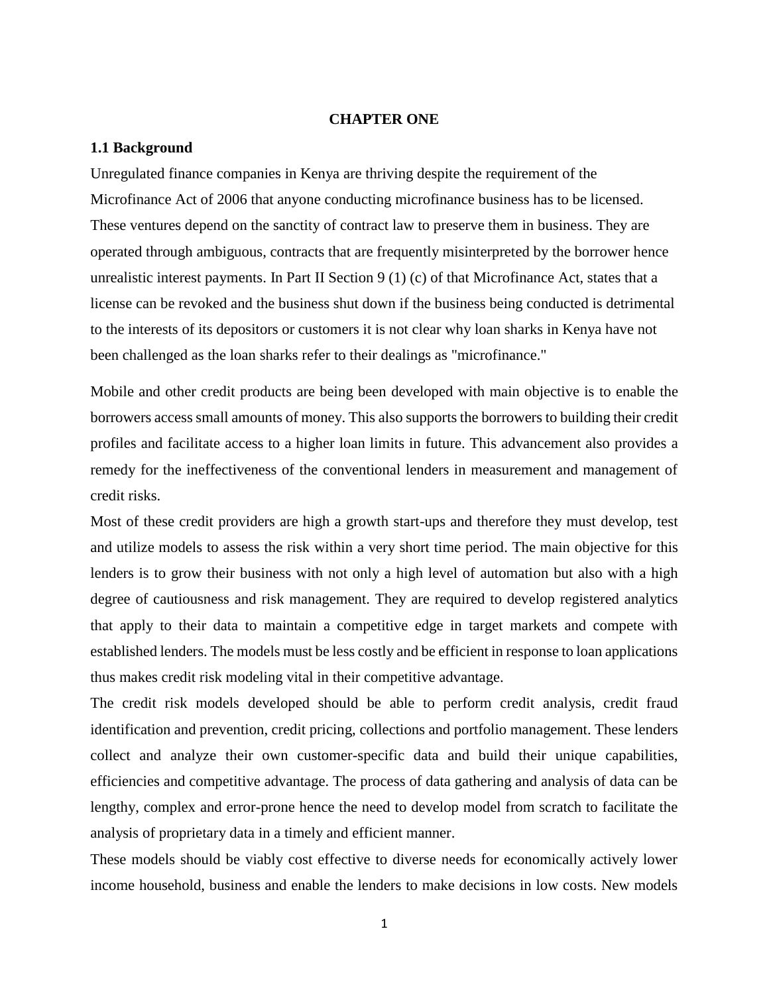### **CHAPTER ONE**

#### <span id="page-7-1"></span><span id="page-7-0"></span>**1.1 Background**

Unregulated finance companies in Kenya are thriving despite the requirement of the Microfinance Act of 2006 that anyone conducting microfinance business has to be licensed. These ventures depend on the sanctity of contract [law](http://www.ehow.com/legal/) to preserve them in [business.](http://www.ehow.com/business/) They are operated through ambiguous, contracts that are frequently misinterpreted by the borrower hence unrealistic interest payments. In Part II Section  $9(1)(c)$  of that Microfinance Act, states that a license can be revoked and the business shut down if the business being conducted is detrimental to the interests of its depositors or customers it is not clear why loan sharks in Kenya have not been challenged as the loan sharks refer to their dealings as "microfinance."

Mobile and other credit products are being been developed with main objective is to enable the borrowers access small amounts of money. This also supports the borrowers to building their credit profiles and facilitate access to a higher loan limits in future. This advancement also provides a remedy for the ineffectiveness of the conventional lenders in measurement and management of credit risks.

Most of these credit providers are high a growth start-ups and therefore they must develop, test and utilize models to assess the risk within a very short time period. The main objective for this lenders is to grow their business with not only a high level of automation but also with a high degree of cautiousness and risk management. They are required to develop registered analytics that apply to their data to maintain a competitive edge in target markets and compete with established lenders. The models must be less costly and be efficient in response to loan applications thus makes credit risk modeling vital in their competitive advantage.

The credit risk models developed should be able to perform credit analysis, credit fraud identification and prevention, credit pricing, collections and portfolio management. These lenders collect and analyze their own customer-specific data and build their unique capabilities, efficiencies and competitive advantage. The process of data gathering and analysis of data can be lengthy, complex and error-prone hence the need to develop model from scratch to facilitate the analysis of proprietary data in a timely and efficient manner.

These models should be viably cost effective to diverse needs for economically actively lower income household, business and enable the lenders to make decisions in low costs. New models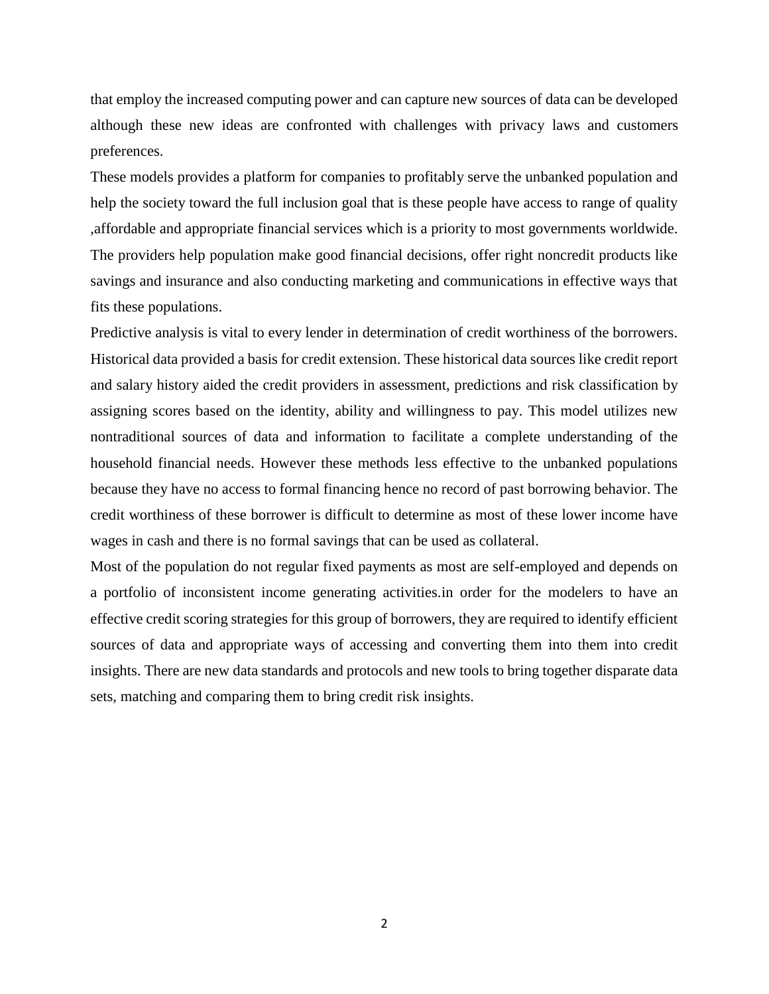that employ the increased computing power and can capture new sources of data can be developed although these new ideas are confronted with challenges with privacy laws and customers preferences.

These models provides a platform for companies to profitably serve the unbanked population and help the society toward the full inclusion goal that is these people have access to range of quality ,affordable and appropriate financial services which is a priority to most governments worldwide. The providers help population make good financial decisions, offer right noncredit products like savings and insurance and also conducting marketing and communications in effective ways that fits these populations.

Predictive analysis is vital to every lender in determination of credit worthiness of the borrowers. Historical data provided a basis for credit extension. These historical data sources like credit report and salary history aided the credit providers in assessment, predictions and risk classification by assigning scores based on the identity, ability and willingness to pay. This model utilizes new nontraditional sources of data and information to facilitate a complete understanding of the household financial needs. However these methods less effective to the unbanked populations because they have no access to formal financing hence no record of past borrowing behavior. The credit worthiness of these borrower is difficult to determine as most of these lower income have wages in cash and there is no formal savings that can be used as collateral.

Most of the population do not regular fixed payments as most are self-employed and depends on a portfolio of inconsistent income generating activities.in order for the modelers to have an effective credit scoring strategies for this group of borrowers, they are required to identify efficient sources of data and appropriate ways of accessing and converting them into them into credit insights. There are new data standards and protocols and new tools to bring together disparate data sets, matching and comparing them to bring credit risk insights.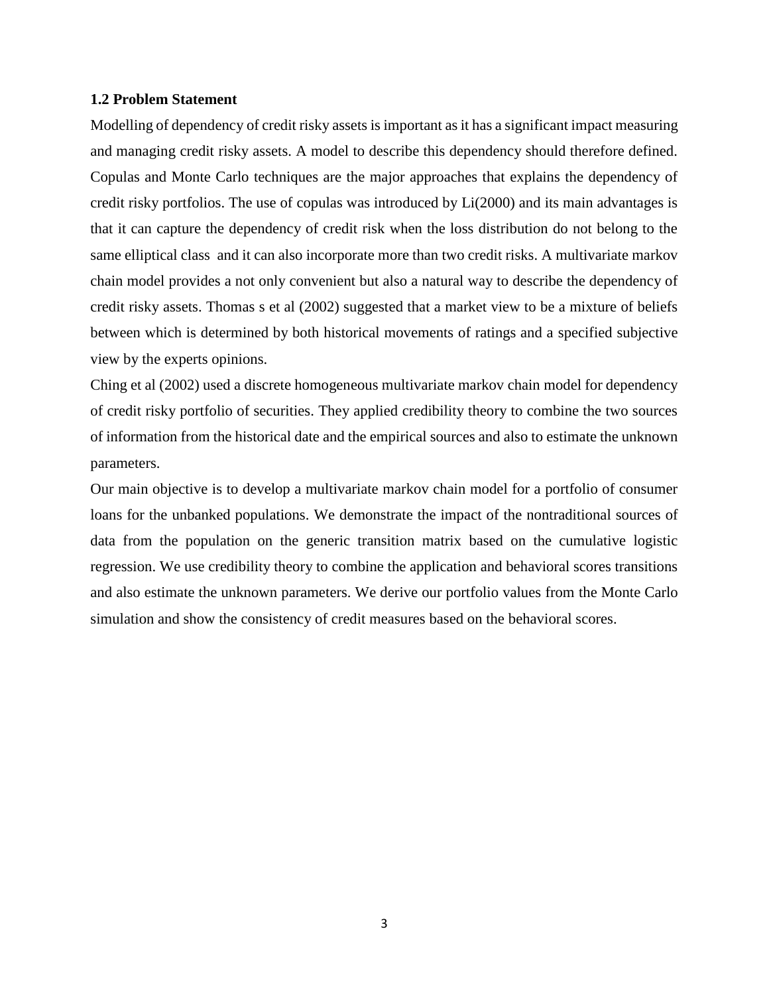#### <span id="page-9-0"></span>**1.2 Problem Statement**

Modelling of dependency of credit risky assets is important as it has a significant impact measuring and managing credit risky assets. A model to describe this dependency should therefore defined. Copulas and Monte Carlo techniques are the major approaches that explains the dependency of credit risky portfolios. The use of copulas was introduced by Li(2000) and its main advantages is that it can capture the dependency of credit risk when the loss distribution do not belong to the same elliptical class and it can also incorporate more than two credit risks. A multivariate markov chain model provides a not only convenient but also a natural way to describe the dependency of credit risky assets. Thomas s et al (2002) suggested that a market view to be a mixture of beliefs between which is determined by both historical movements of ratings and a specified subjective view by the experts opinions.

Ching et al (2002) used a discrete homogeneous multivariate markov chain model for dependency of credit risky portfolio of securities. They applied credibility theory to combine the two sources of information from the historical date and the empirical sources and also to estimate the unknown parameters.

Our main objective is to develop a multivariate markov chain model for a portfolio of consumer loans for the unbanked populations. We demonstrate the impact of the nontraditional sources of data from the population on the generic transition matrix based on the cumulative logistic regression. We use credibility theory to combine the application and behavioral scores transitions and also estimate the unknown parameters. We derive our portfolio values from the Monte Carlo simulation and show the consistency of credit measures based on the behavioral scores.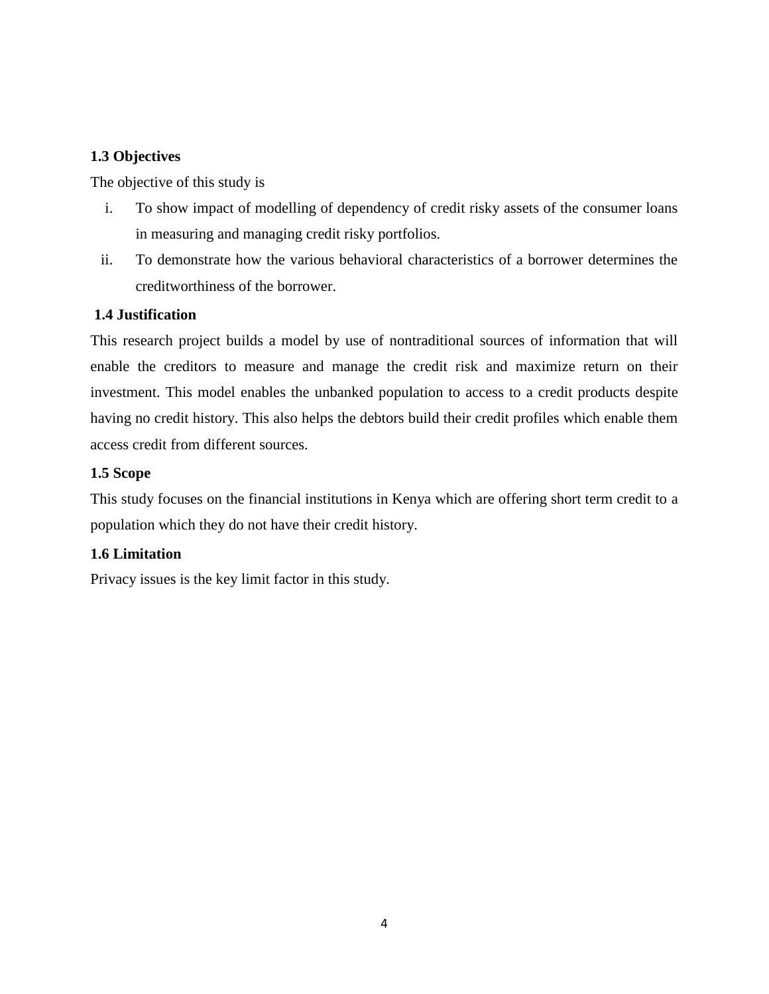## <span id="page-10-0"></span>**1.3 Objectives**

The objective of this study is

- i. To show impact of modelling of dependency of credit risky assets of the consumer loans in measuring and managing credit risky portfolios.
- ii. To demonstrate how the various behavioral characteristics of a borrower determines the creditworthiness of the borrower.

## <span id="page-10-1"></span>**1.4 Justification**

This research project builds a model by use of nontraditional sources of information that will enable the creditors to measure and manage the credit risk and maximize return on their investment. This model enables the unbanked population to access to a credit products despite having no credit history. This also helps the debtors build their credit profiles which enable them access credit from different sources.

## <span id="page-10-2"></span>**1.5 Scope**

This study focuses on the financial institutions in Kenya which are offering short term credit to a population which they do not have their credit history.

## <span id="page-10-3"></span>**1.6 Limitation**

Privacy issues is the key limit factor in this study.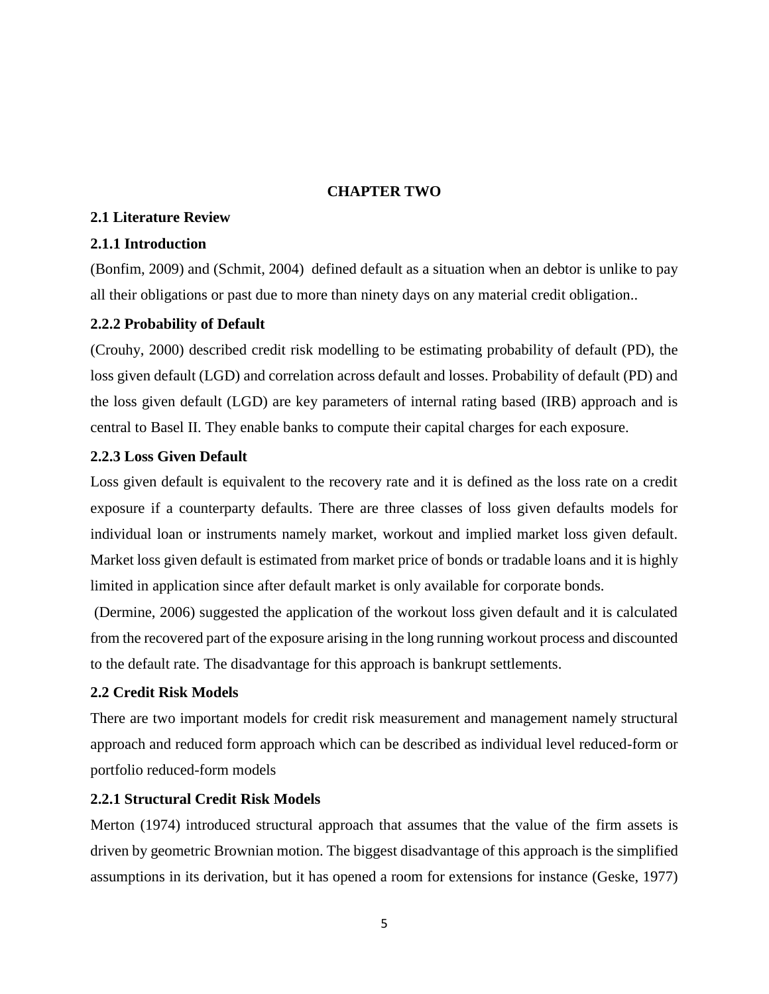## **CHAPTER TWO**

## <span id="page-11-1"></span><span id="page-11-0"></span>**2.1 Literature Review**

## <span id="page-11-2"></span>**2.1.1 Introduction**

(Bonfim, 2009) and (Schmit, 2004) defined default as a situation when an debtor is unlike to pay all their obligations or past due to more than ninety days on any material credit obligation..

## <span id="page-11-3"></span>**2.2.2 Probability of Default**

(Crouhy, 2000) described credit risk modelling to be estimating probability of default (PD), the loss given default (LGD) and correlation across default and losses. Probability of default (PD) and the loss given default (LGD) are key parameters of internal rating based (IRB) approach and is central to Basel II. They enable banks to compute their capital charges for each exposure.

## <span id="page-11-4"></span>**2.2.3 Loss Given Default**

Loss given default is equivalent to the recovery rate and it is defined as the loss rate on a credit exposure if a counterparty defaults. There are three classes of loss given defaults models for individual loan or instruments namely market, workout and implied market loss given default. Market loss given default is estimated from market price of bonds or tradable loans and it is highly limited in application since after default market is only available for corporate bonds.

(Dermine, 2006) suggested the application of the workout loss given default and it is calculated from the recovered part of the exposure arising in the long running workout process and discounted to the default rate. The disadvantage for this approach is bankrupt settlements.

## <span id="page-11-5"></span>**2.2 Credit Risk Models**

There are two important models for credit risk measurement and management namely structural approach and reduced form approach which can be described as individual level reduced-form or portfolio reduced-form models

#### <span id="page-11-6"></span>**2.2.1 Structural Credit Risk Models**

Merton (1974) introduced structural approach that assumes that the value of the firm assets is driven by geometric Brownian motion. The biggest disadvantage of this approach is the simplified assumptions in its derivation, but it has opened a room for extensions for instance (Geske, 1977)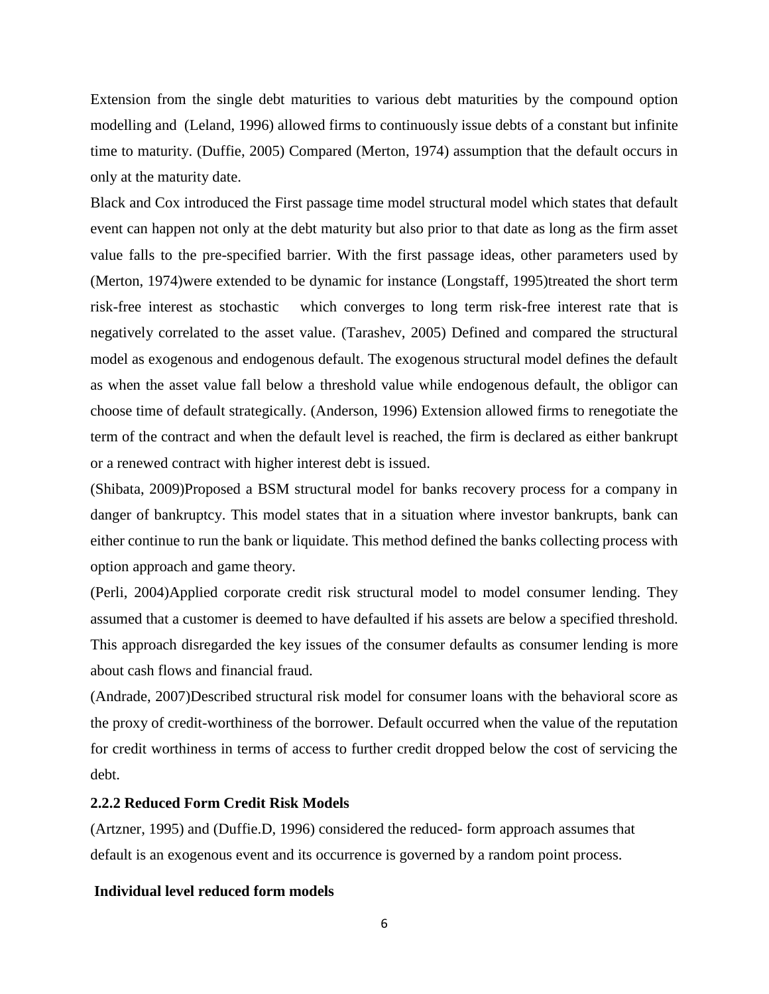Extension from the single debt maturities to various debt maturities by the compound option modelling and (Leland, 1996) allowed firms to continuously issue debts of a constant but infinite time to maturity. (Duffie, 2005) Compared (Merton, 1974) assumption that the default occurs in only at the maturity date.

Black and Cox introduced the First passage time model structural model which states that default event can happen not only at the debt maturity but also prior to that date as long as the firm asset value falls to the pre-specified barrier. With the first passage ideas, other parameters used by (Merton, 1974)were extended to be dynamic for instance (Longstaff, 1995)treated the short term risk-free interest as stochastic which converges to long term risk-free interest rate that is negatively correlated to the asset value. (Tarashev, 2005) Defined and compared the structural model as exogenous and endogenous default. The exogenous structural model defines the default as when the asset value fall below a threshold value while endogenous default, the obligor can choose time of default strategically. (Anderson, 1996) Extension allowed firms to renegotiate the term of the contract and when the default level is reached, the firm is declared as either bankrupt or a renewed contract with higher interest debt is issued.

(Shibata, 2009)Proposed a BSM structural model for banks recovery process for a company in danger of bankruptcy. This model states that in a situation where investor bankrupts, bank can either continue to run the bank or liquidate. This method defined the banks collecting process with option approach and game theory.

(Perli, 2004)Applied corporate credit risk structural model to model consumer lending. They assumed that a customer is deemed to have defaulted if his assets are below a specified threshold. This approach disregarded the key issues of the consumer defaults as consumer lending is more about cash flows and financial fraud.

(Andrade, 2007)Described structural risk model for consumer loans with the behavioral score as the proxy of credit-worthiness of the borrower. Default occurred when the value of the reputation for credit worthiness in terms of access to further credit dropped below the cost of servicing the debt.

## <span id="page-12-0"></span>**2.2.2 Reduced Form Credit Risk Models**

(Artzner, 1995) and (Duffie.D, 1996) considered the reduced- form approach assumes that default is an exogenous event and its occurrence is governed by a random point process.

### **Individual level reduced form models**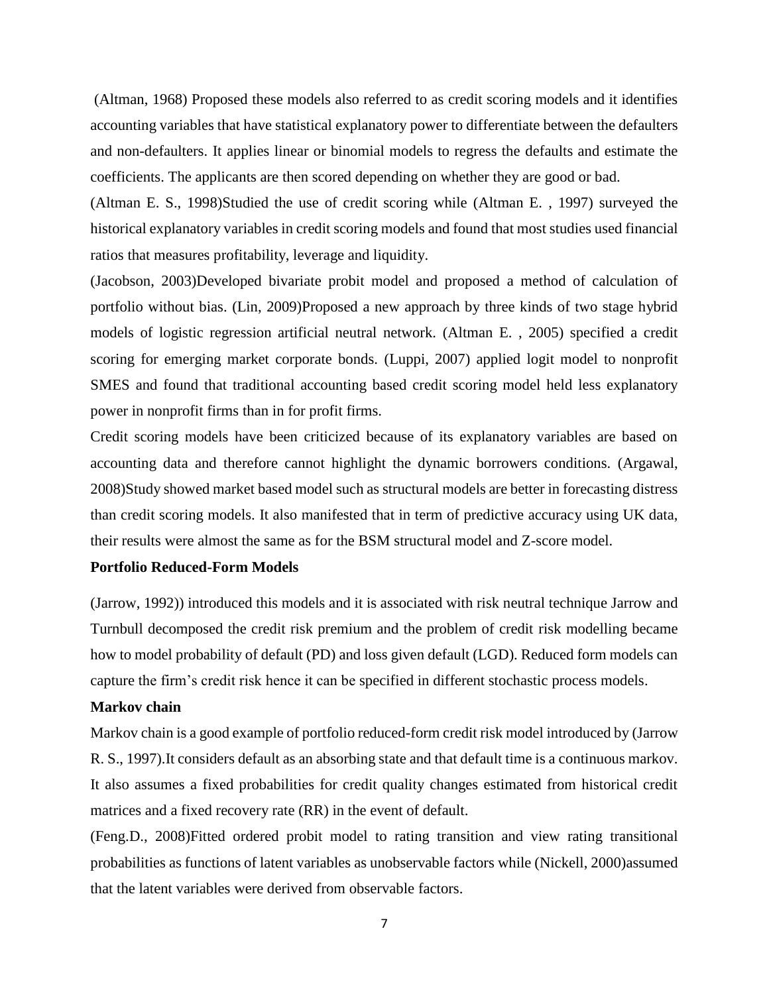(Altman, 1968) Proposed these models also referred to as credit scoring models and it identifies accounting variables that have statistical explanatory power to differentiate between the defaulters and non-defaulters. It applies linear or binomial models to regress the defaults and estimate the coefficients. The applicants are then scored depending on whether they are good or bad.

(Altman E. S., 1998)Studied the use of credit scoring while (Altman E. , 1997) surveyed the historical explanatory variables in credit scoring models and found that most studies used financial ratios that measures profitability, leverage and liquidity.

(Jacobson, 2003)Developed bivariate probit model and proposed a method of calculation of portfolio without bias. (Lin, 2009)Proposed a new approach by three kinds of two stage hybrid models of logistic regression artificial neutral network. (Altman E. , 2005) specified a credit scoring for emerging market corporate bonds. (Luppi, 2007) applied logit model to nonprofit SMES and found that traditional accounting based credit scoring model held less explanatory power in nonprofit firms than in for profit firms.

Credit scoring models have been criticized because of its explanatory variables are based on accounting data and therefore cannot highlight the dynamic borrowers conditions. (Argawal, 2008)Study showed market based model such as structural models are better in forecasting distress than credit scoring models. It also manifested that in term of predictive accuracy using UK data, their results were almost the same as for the BSM structural model and Z-score model.

#### **Portfolio Reduced-Form Models**

(Jarrow, 1992)) introduced this models and it is associated with risk neutral technique Jarrow and Turnbull decomposed the credit risk premium and the problem of credit risk modelling became how to model probability of default (PD) and loss given default (LGD). Reduced form models can capture the firm's credit risk hence it can be specified in different stochastic process models.

#### **Markov chain**

Markov chain is a good example of portfolio reduced-form credit risk model introduced by (Jarrow R. S., 1997).It considers default as an absorbing state and that default time is a continuous markov. It also assumes a fixed probabilities for credit quality changes estimated from historical credit matrices and a fixed recovery rate (RR) in the event of default.

(Feng.D., 2008)Fitted ordered probit model to rating transition and view rating transitional probabilities as functions of latent variables as unobservable factors while (Nickell, 2000)assumed that the latent variables were derived from observable factors.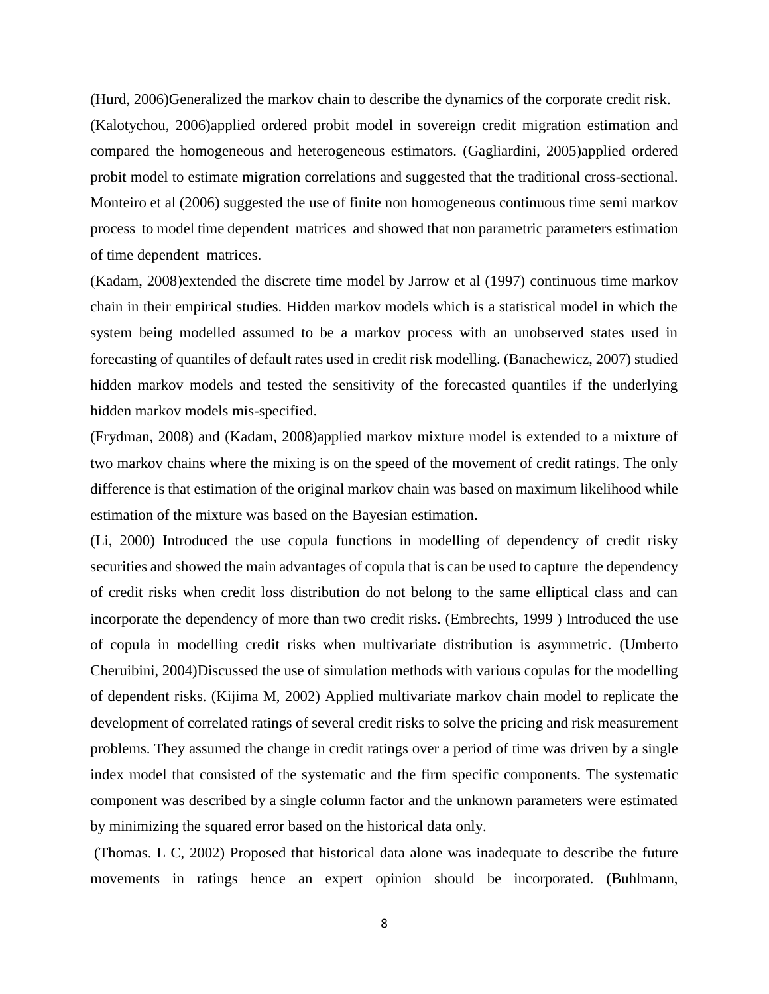(Hurd, 2006)Generalized the markov chain to describe the dynamics of the corporate credit risk. (Kalotychou, 2006)applied ordered probit model in sovereign credit migration estimation and compared the homogeneous and heterogeneous estimators. (Gagliardini, 2005)applied ordered probit model to estimate migration correlations and suggested that the traditional cross-sectional. Monteiro et al (2006) suggested the use of finite non homogeneous continuous time semi markov process to model time dependent matrices and showed that non parametric parameters estimation of time dependent matrices.

(Kadam, 2008)extended the discrete time model by Jarrow et al (1997) continuous time markov chain in their empirical studies. Hidden markov models which is a statistical model in which the system being modelled assumed to be a markov process with an unobserved states used in forecasting of quantiles of default rates used in credit risk modelling. (Banachewicz, 2007) studied hidden markov models and tested the sensitivity of the forecasted quantiles if the underlying hidden markov models mis-specified.

(Frydman, 2008) and (Kadam, 2008)applied markov mixture model is extended to a mixture of two markov chains where the mixing is on the speed of the movement of credit ratings. The only difference is that estimation of the original markov chain was based on maximum likelihood while estimation of the mixture was based on the Bayesian estimation.

(Li, 2000) Introduced the use copula functions in modelling of dependency of credit risky securities and showed the main advantages of copula that is can be used to capture the dependency of credit risks when credit loss distribution do not belong to the same elliptical class and can incorporate the dependency of more than two credit risks. (Embrechts, 1999 ) Introduced the use of copula in modelling credit risks when multivariate distribution is asymmetric. (Umberto Cheruibini, 2004)Discussed the use of simulation methods with various copulas for the modelling of dependent risks. (Kijima M, 2002) Applied multivariate markov chain model to replicate the development of correlated ratings of several credit risks to solve the pricing and risk measurement problems. They assumed the change in credit ratings over a period of time was driven by a single index model that consisted of the systematic and the firm specific components. The systematic component was described by a single column factor and the unknown parameters were estimated by minimizing the squared error based on the historical data only.

(Thomas. L C, 2002) Proposed that historical data alone was inadequate to describe the future movements in ratings hence an expert opinion should be incorporated. (Buhlmann,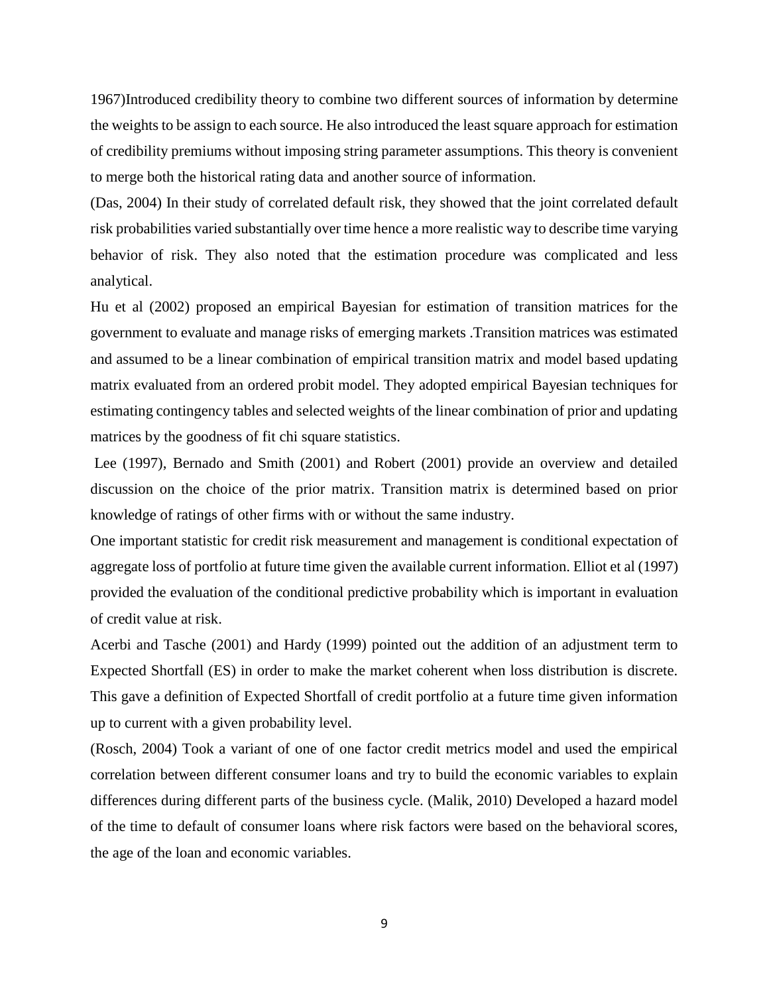1967)Introduced credibility theory to combine two different sources of information by determine the weights to be assign to each source. He also introduced the least square approach for estimation of credibility premiums without imposing string parameter assumptions. This theory is convenient to merge both the historical rating data and another source of information.

(Das, 2004) In their study of correlated default risk, they showed that the joint correlated default risk probabilities varied substantially over time hence a more realistic way to describe time varying behavior of risk. They also noted that the estimation procedure was complicated and less analytical.

Hu et al (2002) proposed an empirical Bayesian for estimation of transition matrices for the government to evaluate and manage risks of emerging markets .Transition matrices was estimated and assumed to be a linear combination of empirical transition matrix and model based updating matrix evaluated from an ordered probit model. They adopted empirical Bayesian techniques for estimating contingency tables and selected weights of the linear combination of prior and updating matrices by the goodness of fit chi square statistics.

Lee (1997), Bernado and Smith (2001) and Robert (2001) provide an overview and detailed discussion on the choice of the prior matrix. Transition matrix is determined based on prior knowledge of ratings of other firms with or without the same industry.

One important statistic for credit risk measurement and management is conditional expectation of aggregate loss of portfolio at future time given the available current information. Elliot et al (1997) provided the evaluation of the conditional predictive probability which is important in evaluation of credit value at risk.

Acerbi and Tasche (2001) and Hardy (1999) pointed out the addition of an adjustment term to Expected Shortfall (ES) in order to make the market coherent when loss distribution is discrete. This gave a definition of Expected Shortfall of credit portfolio at a future time given information up to current with a given probability level.

(Rosch, 2004) Took a variant of one of one factor credit metrics model and used the empirical correlation between different consumer loans and try to build the economic variables to explain differences during different parts of the business cycle. (Malik, 2010) Developed a hazard model of the time to default of consumer loans where risk factors were based on the behavioral scores, the age of the loan and economic variables.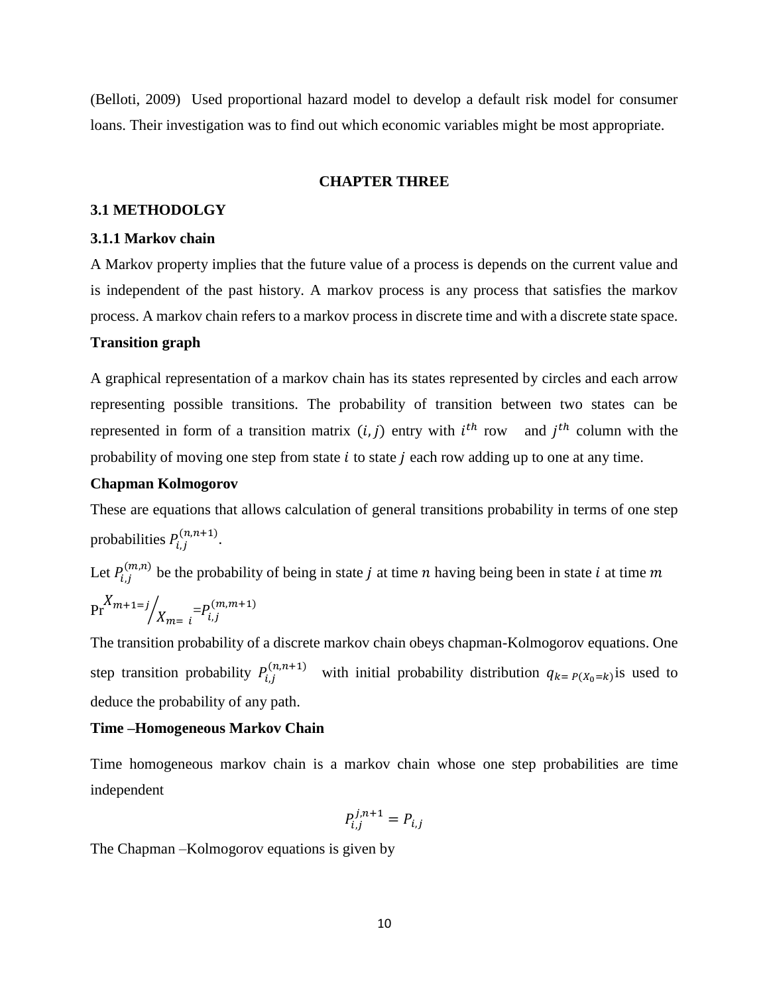(Belloti, 2009) Used proportional hazard model to develop a default risk model for consumer loans. Their investigation was to find out which economic variables might be most appropriate.

#### <span id="page-16-0"></span>**CHAPTER THREE**

## <span id="page-16-1"></span>**3.1 METHODOLGY**

#### <span id="page-16-2"></span>**3.1.1 Markov chain**

A Markov property implies that the future value of a process is depends on the current value and is independent of the past history. A markov process is any process that satisfies the markov process. A markov chain refers to a markov process in discrete time and with a discrete state space.

#### **Transition graph**

A graphical representation of a markov chain has its states represented by circles and each arrow representing possible transitions. The probability of transition between two states can be represented in form of a transition matrix  $(i, j)$  entry with  $i<sup>th</sup>$  row and  $j<sup>th</sup>$  column with the probability of moving one step from state  $i$  to state  $j$  each row adding up to one at any time.

#### **Chapman Kolmogorov**

These are equations that allows calculation of general transitions probability in terms of one step probabilities  $P_{i,j}^{(n,n+1)}$ .

Let  $P_{i,j}^{(m,n)}$  be the probability of being in state *j* at time *n* having being been in state *i* at time *m*  $Pr^{X_{m+1=j}}/X_{m=1} = P_{i,j}^{(m,m+1)}$ 

The transition probability of a discrete markov chain obeys chapman-Kolmogorov equations. One step transition probability  $P_{i,j}^{(n,n+1)}$  with initial probability distribution  $q_{k}=P(X_0=k)$  is used to deduce the probability of any path.

#### **Time –Homogeneous Markov Chain**

Time homogeneous markov chain is a markov chain whose one step probabilities are time independent

$$
P_{i,j}^{j,n+1} = P_{i,j}
$$

The Chapman –Kolmogorov equations is given by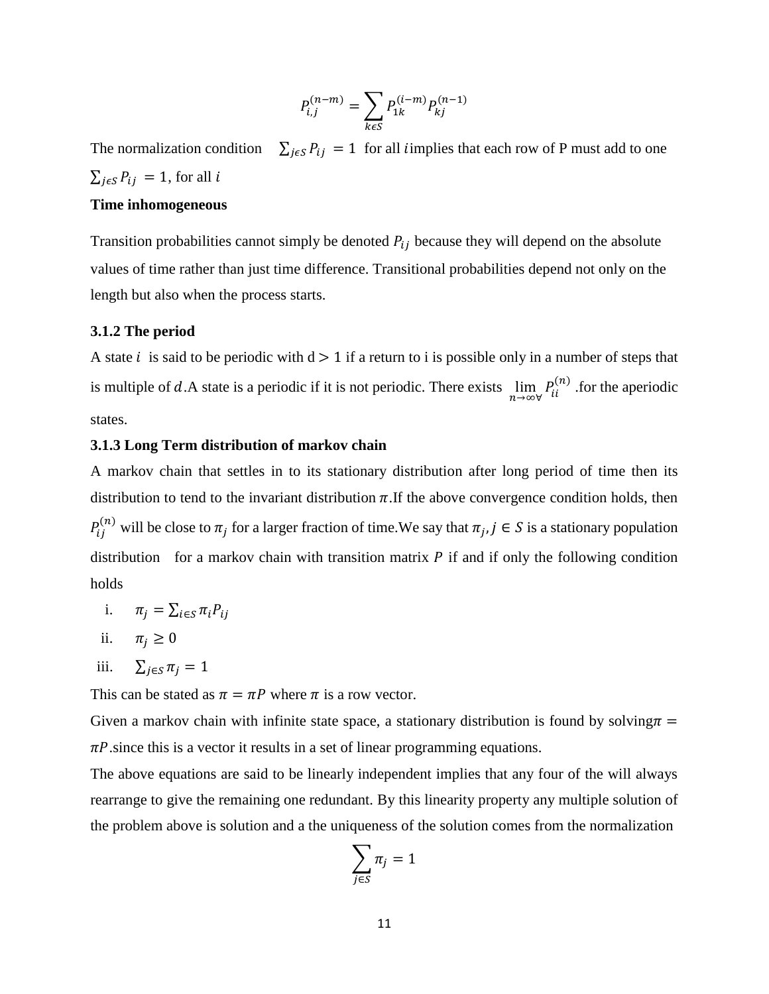$$
P_{i,j}^{(n-m)} = \sum_{k \in S} P_{1k}^{(i-m)} P_{kj}^{(n-1)}
$$

The normalization condition  $\sum_{j \in S} P_{ij} = 1$  for all *i*mplies that each row of P must add to one  $\sum_{j \in S} P_{ij} = 1$ , for all i

#### **Time inhomogeneous**

Transition probabilities cannot simply be denoted  $P_{ij}$  because they will depend on the absolute values of time rather than just time difference. Transitional probabilities depend not only on the length but also when the process starts.

#### <span id="page-17-0"></span>**3.1.2 The period**

A state *i* is said to be periodic with  $d > 1$  if a return to *i* is possible only in a number of steps that is multiple of d.A state is a periodic if it is not periodic. There exists  $\lim_{n\to\infty} P_{ii}^{(n)}$  for the aperiodic states.

### <span id="page-17-1"></span>**3.1.3 Long Term distribution of markov chain**

A markov chain that settles in to its stationary distribution after long period of time then its distribution to tend to the invariant distribution  $\pi$ . If the above convergence condition holds, then  $P_{ij}^{(n)}$  will be close to  $\pi_j$  for a larger fraction of time. We say that  $\pi_j$ ,  $j \in S$  is a stationary population distribution for a markov chain with transition matrix  $P$  if and if only the following condition holds

- i.  $\pi_i = \sum_{i \in S} \pi_i P_{ij}$
- ii.  $\pi_i \geq 0$

iii. 
$$
\sum_{j \in S} \pi_j = 1
$$

This can be stated as  $\pi = \pi P$  where  $\pi$  is a row vector.

Given a markov chain with infinite state space, a stationary distribution is found by solving  $\pi$  =  $\pi P$  since this is a vector it results in a set of linear programming equations.

The above equations are said to be linearly independent implies that any four of the will always rearrange to give the remaining one redundant. By this linearity property any multiple solution of the problem above is solution and a the uniqueness of the solution comes from the normalization

$$
\sum_{j\in S}\pi_j=1
$$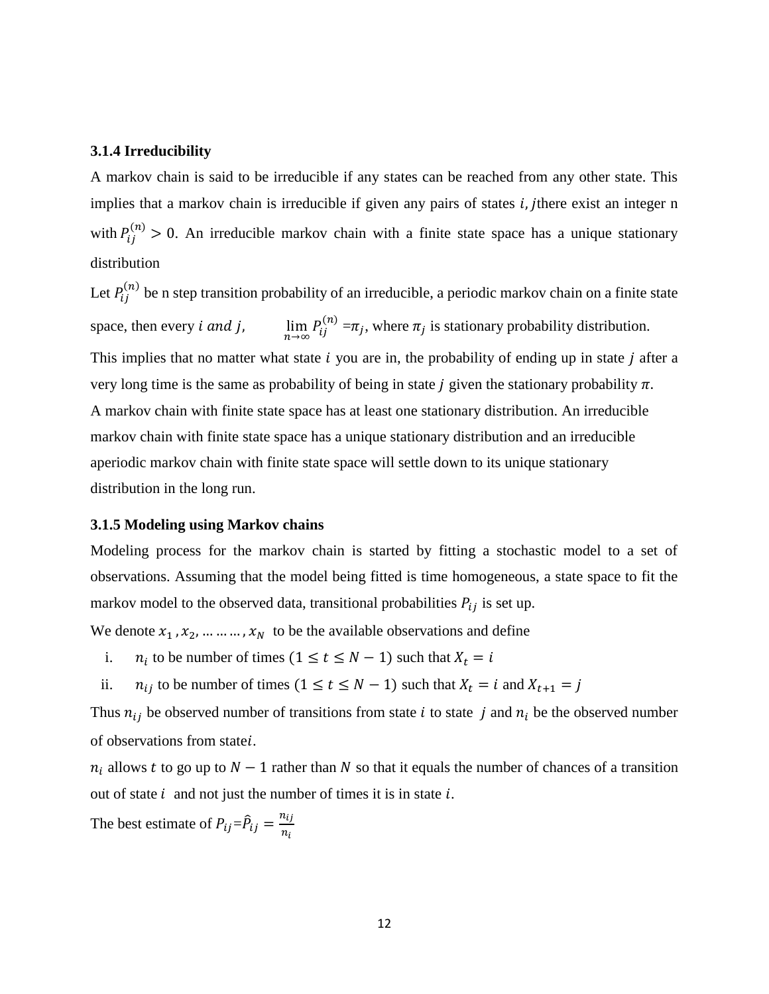#### <span id="page-18-0"></span>**3.1.4 Irreducibility**

A markov chain is said to be irreducible if any states can be reached from any other state. This implies that a markov chain is irreducible if given any pairs of states  $i, j$  there exist an integer n with  $P_{ij}^{(n)} > 0$ . An irreducible markov chain with a finite state space has a unique stationary distribution

Let  $P_{ij}^{(n)}$  be n step transition probability of an irreducible, a periodic markov chain on a finite state space, then every  $i$  and  $j$ ,  $P_{ij}^{(n)} = \pi_j$ , where  $\pi_j$  is stationary probability distribution. This implies that no matter what state  $i$  you are in, the probability of ending up in state  $j$  after a very long time is the same as probability of being in state *j* given the stationary probability  $\pi$ . A markov chain with finite state space has at least one stationary distribution. An irreducible markov chain with finite state space has a unique stationary distribution and an irreducible aperiodic markov chain with finite state space will settle down to its unique stationary distribution in the long run.

#### <span id="page-18-1"></span>**3.1.5 Modeling using Markov chains**

Modeling process for the markov chain is started by fitting a stochastic model to a set of observations. Assuming that the model being fitted is time homogeneous, a state space to fit the markov model to the observed data, transitional probabilities  $P_{ij}$  is set up.

We denote  $x_1$ ,  $x_2$ , ... ... ...,  $x_N$  to be the available observations and define

- i.  $n_i$  to be number of times  $(1 \le t \le N 1)$  such that  $X_t = i$
- ii.  $n_{ij}$  to be number of times  $(1 \le t \le N 1)$  such that  $X_t = i$  and  $X_{t+1} = j$

Thus  $n_{ij}$  be observed number of transitions from state *i* to state *j* and  $n_i$  be the observed number of observations from state*i*.

 $n_i$  allows t to go up to  $N-1$  rather than N so that it equals the number of chances of a transition out of state  $i$  and not just the number of times it is in state  $i$ .

The best estimate of  $P_{ij} = \hat{P}_{ij} = \frac{n_{ij}}{n_{ij}}$  $n_i$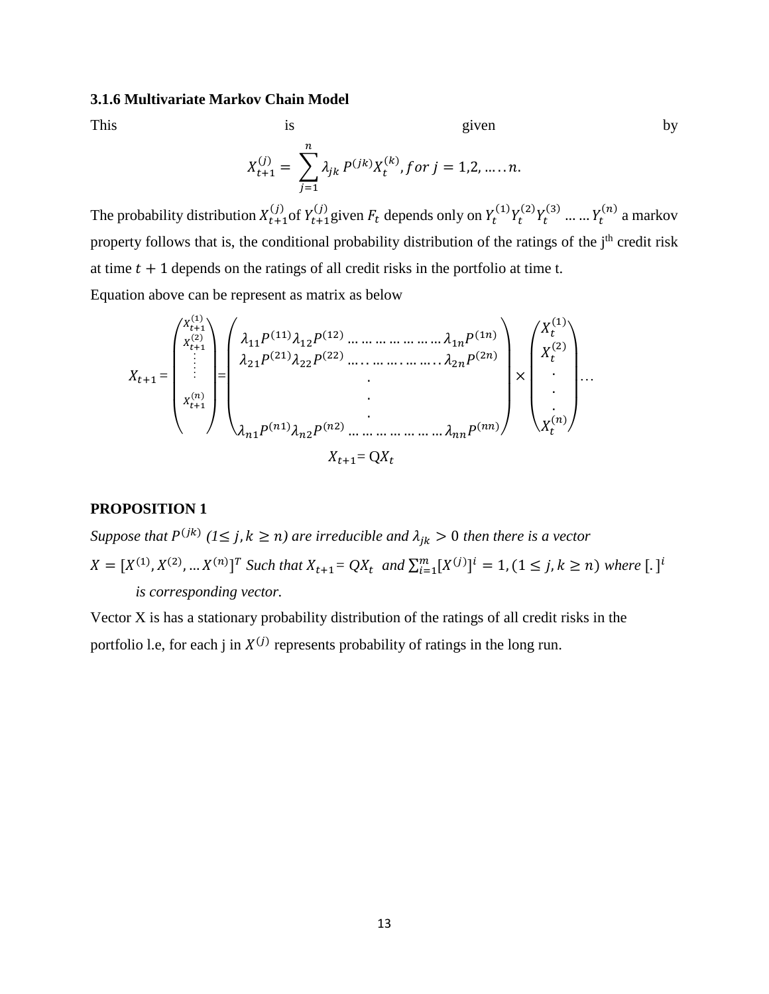#### <span id="page-19-0"></span>**3.1.6 Multivariate Markov Chain Model**

This is is given by

$$
\mathcal{L}_{\mathcal{A}}
$$

$$
X_{t+1}^{(j)} = \sum_{j=1}^{n} \lambda_{jk} P^{(jk)} X_t^{(k)}, \text{for } j = 1, 2, \dots, n.
$$

The probability distribution  $X_{t+1}^{(j)}$  of  $Y_{t+1}^{(j)}$  given  $F_t$  depends only on  $Y_t^{(1)}Y_t^{(2)}Y_t^{(3)}$  ... ...  $Y_t^{(n)}$  a markov property follows that is, the conditional probability distribution of the ratings of the j<sup>th</sup> credit risk at time  $t + 1$  depends on the ratings of all credit risks in the portfolio at time t. Equation above can be represent as matrix as below

$$
X_{t+1} = \begin{pmatrix} x_{t+1}^{(1)} \\ x_{t+1}^{(2)} \\ \vdots \\ x_{t+1}^{(n)} \\ \vdots \\ x_{t+1}^{(n)} \\ \end{pmatrix} = \begin{pmatrix} \lambda_{11} P^{(11)} \lambda_{12} P^{(12)} \dots \dots \dots \dots \dots \dots \dots \dots \dots \lambda_{1n} P^{(1n)} \\ \lambda_{21} P^{(21)} \lambda_{22} P^{(22)} \dots \dots \dots \dots \dots \dots \dots \dots \lambda_{2n} P^{(2n)} \\ \vdots \\ \lambda_{n1} P^{(n1)} \lambda_{n2} P^{(n2)} \dots \dots \dots \dots \dots \dots \dots \dots \lambda_{nn} P^{(nn)} \end{pmatrix} \times \begin{pmatrix} X_t^{(1)} \\ X_t^{(2)} \\ \vdots \\ X_t^{(n)} \end{pmatrix} \dots
$$

#### **PROPOSITION 1**

*Suppose that*  $P^{(jk)}$  ( $l \leq j, k \geq n$ ) are irreducible and  $\lambda_{jk} > 0$  then there is a vector  $X = [X^{(1)}, X^{(2)}, ... X^{(n)}]^T$  Such that  $X_{t+1} = QX_t$  and  $\sum_{i=1}^{m} [X^{(j)}]^i = 1$ ,  $(1 \le j, k \ge n)$  where  $[.]^i$ *is corresponding vector.*

Vector X is has a stationary probability distribution of the ratings of all credit risks in the portfolio l.e, for each j in  $X^{(j)}$  represents probability of ratings in the long run.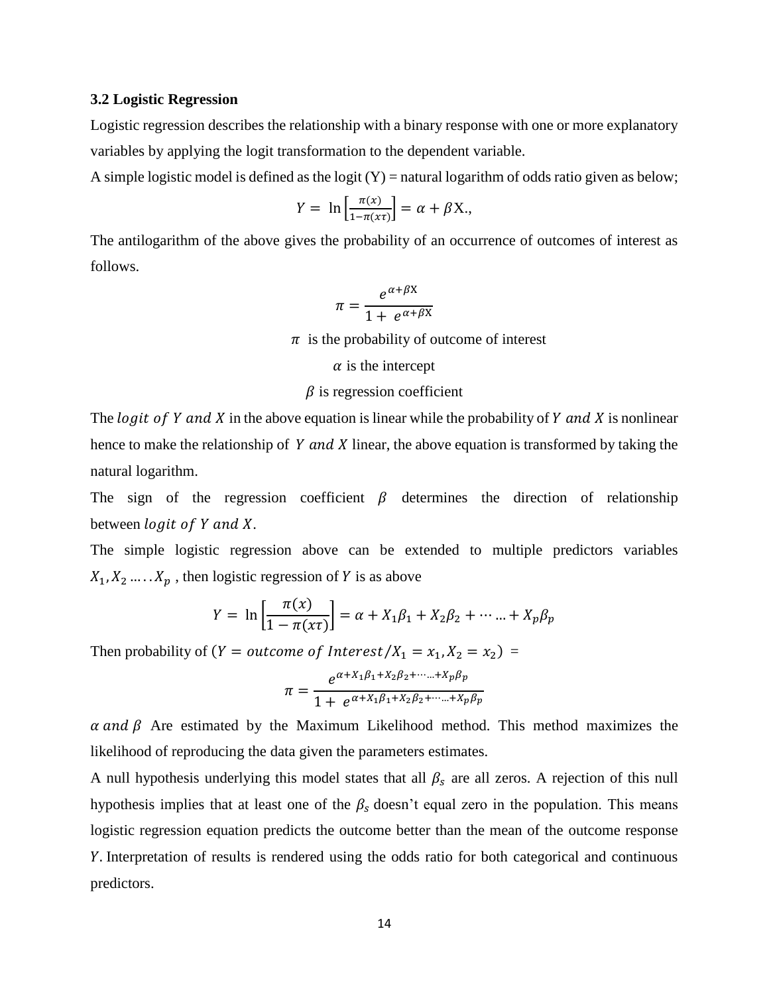#### <span id="page-20-0"></span>**3.2 Logistic Regression**

Logistic regression describes the relationship with a binary response with one or more explanatory variables by applying the logit transformation to the dependent variable.

A simple logistic model is defined as the logit  $(Y)$  = natural logarithm of odds ratio given as below;

$$
Y = \ln\left[\frac{\pi(x)}{1 - \pi(x\tau)}\right] = \alpha + \beta X,
$$

The antilogarithm of the above gives the probability of an occurrence of outcomes of interest as follows.

$$
\pi = \frac{e^{\alpha + \beta X}}{1 + e^{\alpha + \beta X}}
$$

 $\pi$  is the probability of outcome of interest

 $\alpha$  is the intercept

#### $\beta$  is regression coefficient

The logit of Y and X in the above equation is linear while the probability of Y and X is nonlinear hence to make the relationship of  $Y$  and  $X$  linear, the above equation is transformed by taking the natural logarithm.

The sign of the regression coefficient  $\beta$  determines the direction of relationship between  $logit$  of Y and X.

The simple logistic regression above can be extended to multiple predictors variables  $X_1, X_2, \ldots, X_p$ , then logistic regression of Y is as above

$$
Y = \ln \left[ \frac{\pi(x)}{1 - \pi(x\tau)} \right] = \alpha + X_1 \beta_1 + X_2 \beta_2 + \dots + X_p \beta_p
$$

Then probability of (*Y* = *outcome of Interest/X*<sub>1</sub> =  $x_1$ , *X*<sub>2</sub> =  $x_2$ ) =

$$
\pi = \frac{e^{\alpha + X_1 \beta_1 + X_2 \beta_2 + \dots + X_p \beta_p}}{1 + e^{\alpha + X_1 \beta_1 + X_2 \beta_2 + \dots + X_p \beta_p}}
$$

 $\alpha$  and  $\beta$  Are estimated by the Maximum Likelihood method. This method maximizes the likelihood of reproducing the data given the parameters estimates.

A null hypothesis underlying this model states that all  $\beta_s$  are all zeros. A rejection of this null hypothesis implies that at least one of the  $\beta_s$  doesn't equal zero in the population. This means logistic regression equation predicts the outcome better than the mean of the outcome response . Interpretation of results is rendered using the odds ratio for both categorical and continuous predictors.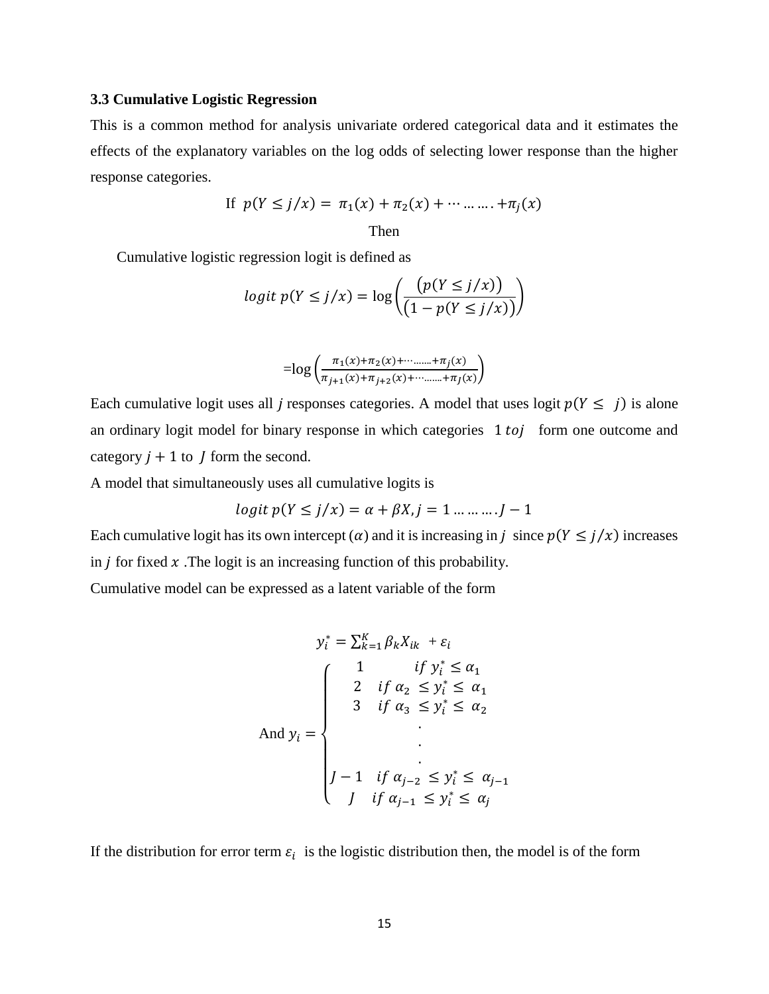#### <span id="page-21-0"></span>**3.3 Cumulative Logistic Regression**

This is a common method for analysis univariate ordered categorical data and it estimates the effects of the explanatory variables on the log odds of selecting lower response than the higher response categories.

If 
$$
p(Y \le j/x) = \pi_1(x) + \pi_2(x) + \cdots + \pi_j(x)
$$
  
Then

Cumulative logistic regression logit is defined as

$$
logit p(Y \le j/x) = log\left(\frac{p(Y \le j/x)}{(1 - p(Y \le j/x))}\right)
$$

$$
= \log \left( \frac{\pi_1(x) + \pi_2(x) + \dots + \pi_j(x)}{\pi_{j+1}(x) + \pi_{j+2}(x) + \dots + \pi_j(x)} \right)
$$

Each cumulative logit uses all *j* responses categories. A model that uses logit  $p(Y \leq j)$  is alone an ordinary logit model for binary response in which categories 1 to j form one outcome and category  $j + 1$  to  $j$  form the second.

A model that simultaneously uses all cumulative logits is

$$
logit \ p(Y \le j/x) = \alpha + \beta X, j = 1 \dots \dots J - 1
$$

Each cumulative logit has its own intercept ( $\alpha$ ) and it is increasing in j since  $p(Y \leq j/x)$  increases in  $\dot{\jmath}$  for fixed  $\dot{x}$ . The logit is an increasing function of this probability.

Cumulative model can be expressed as a latent variable of the form

$$
y_i^* = \sum_{k=1}^K \beta_k X_{ik} + \varepsilon_i
$$
  

$$
\begin{cases}\n1 & \text{if } y_i^* \le \alpha_1 \\
2 & \text{if } \alpha_2 \le y_i^* \le \alpha_1 \\
3 & \text{if } \alpha_3 \le y_i^* \le \alpha_2\n\end{cases}
$$
  
And  $y_i = \begin{cases}\n1 & \text{if } \alpha_3 \le y_i^* \le \alpha_1 \\
\vdots & \vdots \\
1 & \text{if } \alpha_{j-2} \le y_i^* \le \alpha_{j-1} \\
j & \text{if } \alpha_{j-1} \le y_i^* \le \alpha_j\n\end{cases}$ 

If the distribution for error term  $\varepsilon_i$  is the logistic distribution then, the model is of the form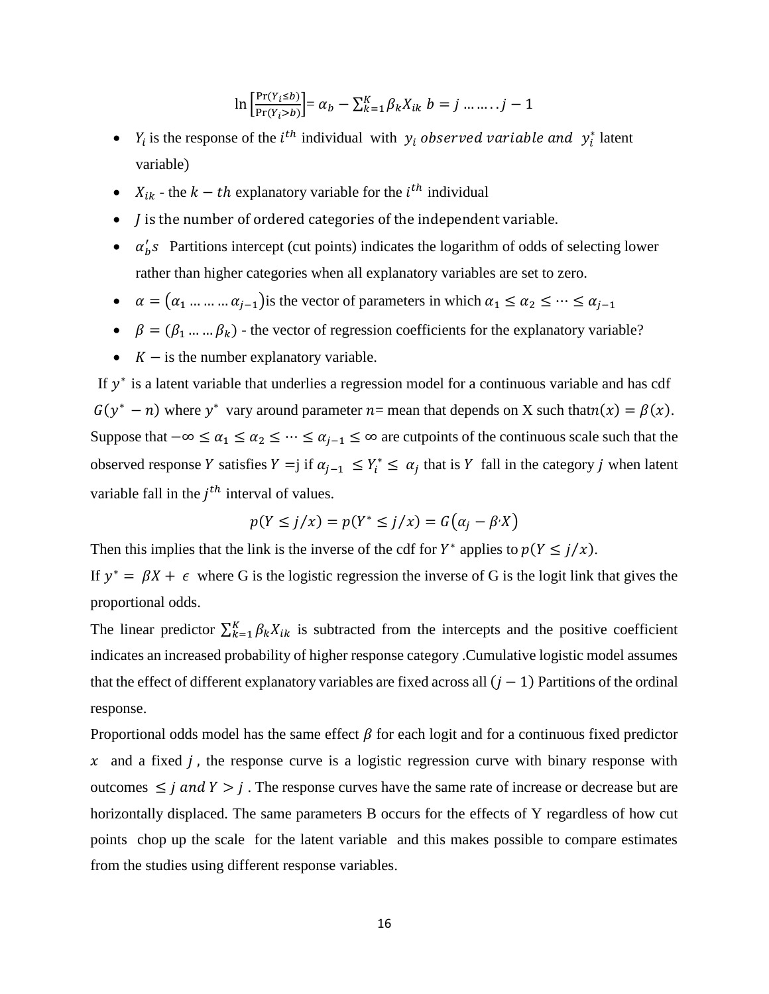$$
\ln\left[\frac{\Pr(Y_i \le b)}{\Pr(Y_i > b)}\right] = \alpha_b - \sum_{k=1}^K \beta_k X_{ik} \ b = j \dots \dots j - 1
$$

- $Y_i$  is the response of the *i*<sup>th</sup> individual with  $y_i$  observed variable and  $y_i^*$  latent variable)
- $X_{ik}$  the  $k th$  explanatory variable for the  $i^{th}$  individual
- $\bullet$  *J* is the number of ordered categories of the independent variable.
- $\alpha'_{b}$ s Partitions intercept (cut points) indicates the logarithm of odds of selecting lower rather than higher categories when all explanatory variables are set to zero.
- $\alpha = (\alpha_1 \dots \dots \alpha_{j-1})$  is the vector of parameters in which  $\alpha_1 \le \alpha_2 \le \dots \le \alpha_{j-1}$
- $\phi$   $\beta = (\beta_1 ... ... \beta_k)$  the vector of regression coefficients for the explanatory variable?
- $\bullet$   $K -$  is the number explanatory variable.

If  $y^*$  is a latent variable that underlies a regression model for a continuous variable and has cdf  $G(y^* - n)$  where y<sup>\*</sup> vary around parameter  $n=$  mean that depends on X such that  $n(x) = \beta(x)$ . Suppose that  $-\infty \le \alpha_1 \le \alpha_2 \le \cdots \le \alpha_{j-1} \le \infty$  are cutpoints of the continuous scale such that the observed response Y satisfies  $Y = j$  if  $\alpha_{j-1} \leq Y_i^* \leq \alpha_j$  that is Y fall in the category j when latent variable fall in the  $j<sup>th</sup>$  interval of values.

$$
p(Y \le j/x) = p(Y^* \le j/x) = G(\alpha_j - \beta^i X)
$$

Then this implies that the link is the inverse of the cdf for  $Y^*$  applies to  $p(Y \leq j/x)$ .

If  $y^* = \beta X + \epsilon$  where G is the logistic regression the inverse of G is the logit link that gives the proportional odds.

The linear predictor  $\sum_{k=1}^{K} \beta_k X_{ik}$  is subtracted from the intercepts and the positive coefficient indicates an increased probability of higher response category .Cumulative logistic model assumes that the effect of different explanatory variables are fixed across all  $(j - 1)$  Partitions of the ordinal response.

Proportional odds model has the same effect  $\beta$  for each logit and for a continuous fixed predictor  $x$  and a fixed *i*, the response curve is a logistic regression curve with binary response with outcomes  $\leq j$  and  $Y > j$ . The response curves have the same rate of increase or decrease but are horizontally displaced. The same parameters B occurs for the effects of Y regardless of how cut points chop up the scale for the latent variable and this makes possible to compare estimates from the studies using different response variables.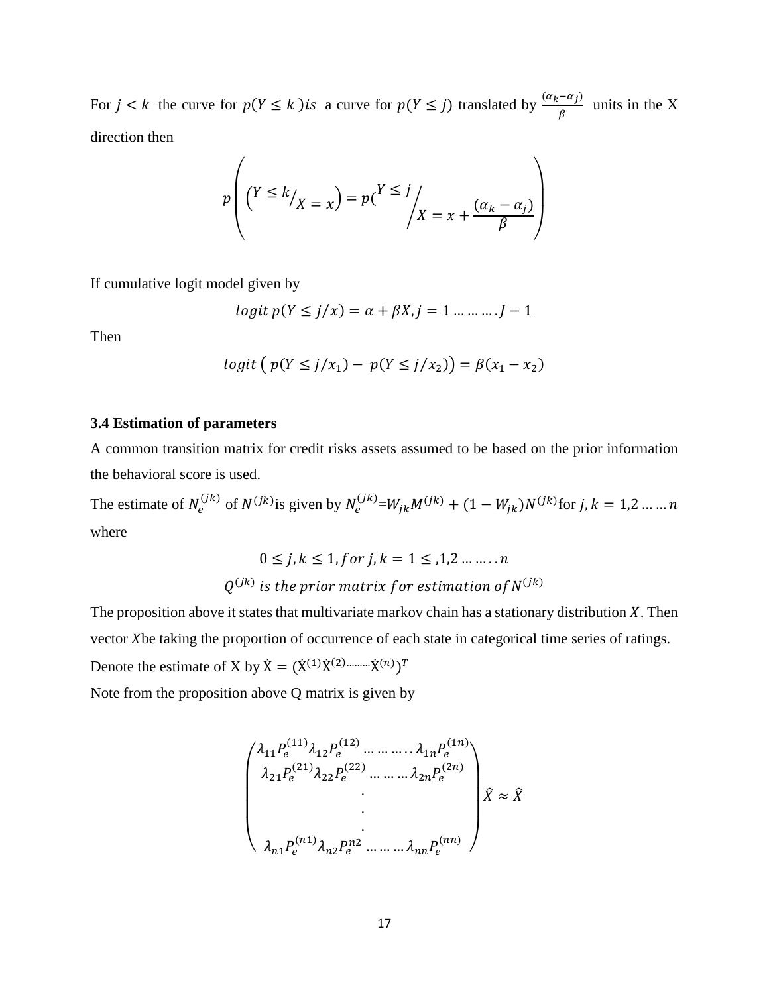For  $j < k$  the curve for  $p(Y \le k)$  is a curve for  $p(Y \le j)$  translated by  $\frac{(a_k - a_j)}{a_k}$  $\frac{\alpha}{\beta}$  units in the X direction then

$$
p\left(\left(Y \le k\middle/\right_X = x\right) = p\left(\frac{Y \le j}{X = x + \frac{(\alpha_k - \alpha_j)}{\beta}}\right)
$$

If cumulative logit model given by

$$
logit \ p(Y \le j/x) = \alpha + \beta X, j = 1 \dots \dots \dots J - 1
$$

Then

$$
logit (p(Y \le j/x_1) - p(Y \le j/x_2)) = \beta(x_1 - x_2)
$$

#### <span id="page-23-0"></span>**3.4 Estimation of parameters**

A common transition matrix for credit risks assets assumed to be based on the prior information the behavioral score is used.

The estimate of  $N_e^{(jk)}$  of  $N^{(jk)}$  is given by  $N_e^{(jk)} = W_{jk}M^{(jk)} + (1 - W_{jk})N^{(jk)}$  for j,  $k = 1, 2, ..., n$ where

$$
0 \le j, k \le 1, for \, j, k = 1 \le 1, 2 \dots \dots n
$$
  

$$
Q^{(jk)} \, \text{is the prior matrix for estimation of } N^{(jk)}
$$

The proposition above it states that multivariate markov chain has a stationary distribution  $X$ . Then vector Xbe taking the proportion of occurrence of each state in categorical time series of ratings. Denote the estimate of X by  $\dot{X} = (\dot{X}^{(1)} \dot{X}^{(2) \dots \dots \dots \dot{X}^{(n)})^T$ 

Note from the proposition above Q matrix is given by

$$
\begin{pmatrix} \lambda_{11} P_e^{(11)} \lambda_{12} P_e^{(12)} \dots \dots \dots \lambda_{1n} P_e^{(1n)} \\ \lambda_{21} P_e^{(21)} \lambda_{22} P_e^{(22)} \dots \dots \dots \lambda_{2n} P_e^{(2n)} \\ \vdots \\ \lambda_{n1} P_e^{(n1)} \lambda_{n2} P_e^{n2} \dots \dots \dots \lambda_{nn} P_e^{(nn)} \end{pmatrix} \hat{X} \approx \hat{X}
$$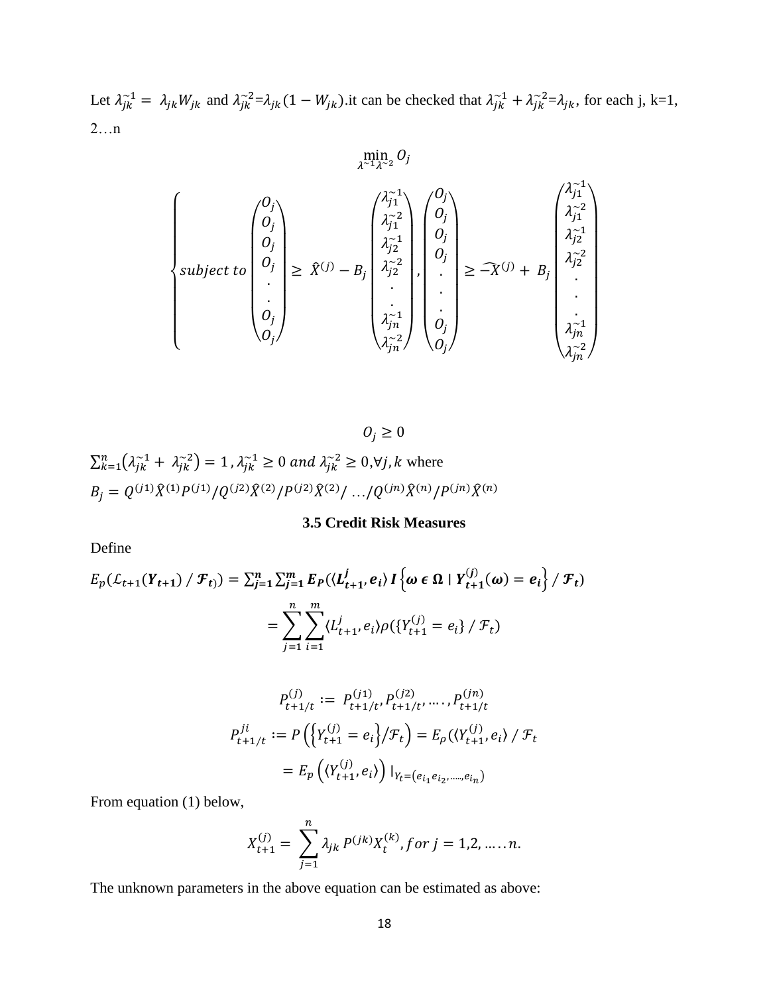Let  $\lambda_{jk}^{-1} = \lambda_{jk} W_{jk}$  and  $\lambda_{jk}^{-2} = \lambda_{jk} (1 - W_{jk})$  it can be checked that  $\lambda_{jk}^{-1} + \lambda_{jk}^{-2} = \lambda_{jk}$ , for each j, k=1, 2…n

$$
\begin{cases}\n\begin{pmatrix}\n0_j \\
0_j \\
0_j \\
\vdots \\
0_j \\
0_j \\
\vdots \\
0_j\n\end{pmatrix}\n\geq \hat{X}^{(j)} - B_j \begin{pmatrix}\n\lambda_{j1}^{-1} \\
\lambda_{j2}^{-2} \\
\lambda_{j2}^{-2} \\
\vdots \\
\lambda_{jn}^{-1}\n\end{pmatrix}, \begin{pmatrix}\n0_j \\
0_j \\
0_j \\
\vdots \\
0_j\n\end{pmatrix}\n\geq -\hat{X}^{(j)} + B_j \begin{pmatrix}\n\lambda_{j1}^{-1} \\
\lambda_{j2}^{-2} \\
\lambda_{j2}^{-2} \\
\vdots \\
\lambda_{jn}^{-1}\n\end{pmatrix}, \begin{pmatrix}\n\lambda_{j1}^{-1} \\
\lambda_{j2}^{-2} \\
\lambda_{j2}^{-2} \\
\vdots \\
\lambda_{jn}^{-1}\n\end{pmatrix}
$$

 $O_j\geq 0$ 

$$
\sum_{k=1}^{n} (\lambda_{jk}^{-1} + \lambda_{jk}^{-2}) = 1, \lambda_{jk}^{-1} \ge 0 \text{ and } \lambda_{jk}^{-2} \ge 0, \forall j, k \text{ where}
$$
  

$$
B_j = Q^{(j1)} \hat{X}^{(1)} P^{(j1)} / Q^{(j2)} \hat{X}^{(2)} / P^{(j2)} \hat{X}^{(2)} / \dots / Q^{(jn)} \hat{X}^{(n)} / P^{(jn)} \hat{X}^{(n)}
$$

**3.5 Credit Risk Measures**

<span id="page-24-0"></span>Define

$$
E_p(\mathcal{L}_{t+1}(Y_{t+1}) / \mathcal{F}_t) = \sum_{j=1}^n \sum_{j=1}^m E_p(\langle L_{t+1}^j, e_i \rangle) \left\{ \omega \in \Omega \mid Y_{t+1}^{(j)}(\omega) = e_i \right\} / \mathcal{F}_t)
$$
  
= 
$$
\sum_{j=1}^n \sum_{i=1}^m \langle L_{t+1}^j, e_i \rangle \rho(\{Y_{t+1}^{(j)} = e_i\} / \mathcal{F}_t)
$$

$$
P_{t+1/t}^{(j)} := P_{t+1/t}^{(j1)} P_{t+1/t}^{(j2)} \dots P_{t+1/t}^{(jn)}
$$
  

$$
P_{t+1/t}^{ji} := P\left(\left\{Y_{t+1}^{(j)} = e_i\right\}/\mathcal{F}_t\right) = E_{\rho}\left(\left\langle Y_{t+1}^{(j)}, e_i\right\rangle / \mathcal{F}_t
$$
  

$$
= E_p\left(\left\langle Y_{t+1}^{(j)}, e_i\right\rangle\right) |_{Y_t = (e_{i_1}e_{i_2}, \dots, e_{i_n})}
$$

From equation (1) below,

$$
X_{t+1}^{(j)} = \sum_{j=1}^{n} \lambda_{jk} P^{(jk)} X_t^{(k)}, \text{for } j = 1, 2, \dots, n.
$$

The unknown parameters in the above equation can be estimated as above: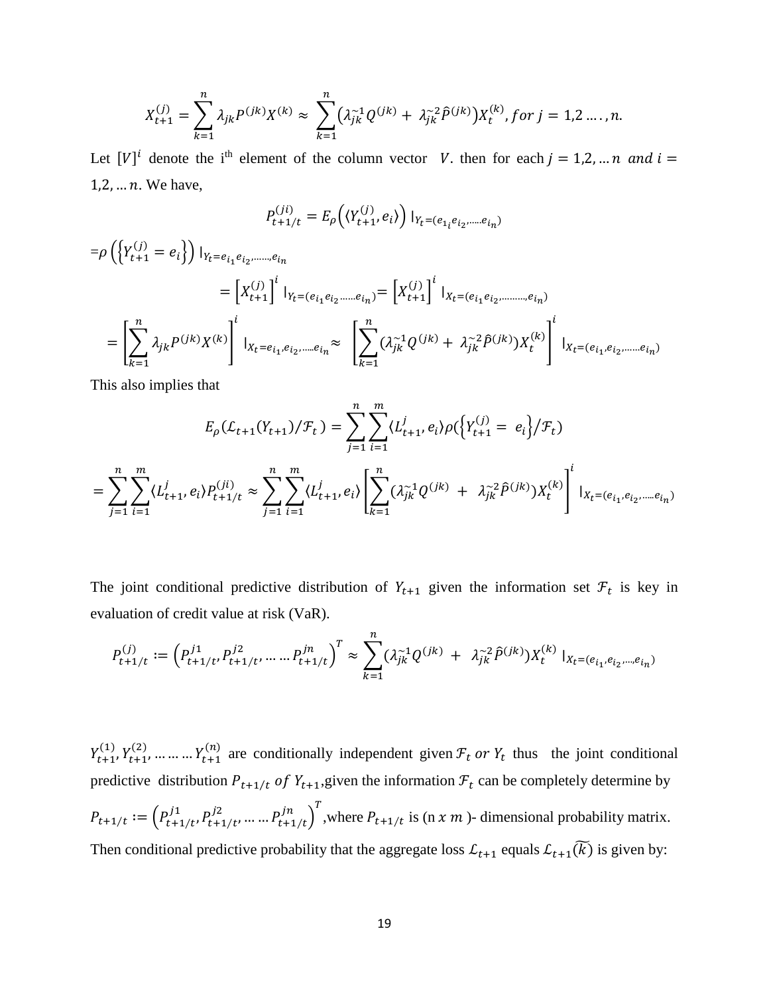$$
X_{t+1}^{(j)} = \sum_{k=1}^{n} \lambda_{jk} P^{(jk)} X^{(k)} \approx \sum_{k=1}^{n} (\lambda_{jk}^{-1} Q^{(jk)} + \lambda_{jk}^{-2} \hat{P}^{(jk)}) X_{t}^{(k)}, \text{for } j = 1, 2, ..., n.
$$

Let  $[V]^i$  denote the i<sup>th</sup> element of the column vector V. then for each  $j = 1,2,...n$  and  $i =$  $1, 2, \ldots n$ . We have,

$$
P_{t+1/t}^{(ji)} = E_{\rho}\left(\langle Y_{t+1}^{(j)}, e_i \rangle\right)|_{Y_t = (e_{1_i}e_{i_2}, \dots, e_{i_n})}
$$

$$
\begin{split} = & \rho \left( \left\{ Y_{t+1}^{(j)} = e_i \right\} \right) \mid_{Y_t = e_{i_1} e_{i_2, \dots, e_{i_n}}} \\ = & \left[ X_{t+1}^{(j)} \right]^i \mid_{Y_t = (e_{i_1} e_{i_2, \dots, e_{i_n}})} = \left[ X_{t+1}^{(j)} \right]^i \mid_{X_t = (e_{i_1} e_{i_2, \dots, e_{i_n}})} \\ = & \left[ \sum_{k=1}^n \lambda_{jk} P^{(jk)} X^{(k)} \right]^i \mid_{X_t = e_{i_1, e_{i_2, \dots, e_{i_n}}} } \approx \left[ \sum_{k=1}^n (\lambda_{jk}^{-1} Q^{(jk)} + \lambda_{jk}^{-2} \hat{P}^{(jk)}) X_t^{(k)} \right]^i \mid_{X_t = (e_{i_1}, e_{i_2, \dots, e_{i_n}})} \end{split}
$$

This also implies that

$$
E_{\rho}(\mathcal{L}_{t+1}(Y_{t+1})/\mathcal{F}_{t}) = \sum_{j=1}^{n} \sum_{i=1}^{m} \langle L_{t+1}^{j}, e_{i} \rangle \rho(\left\{ Y_{t+1}^{(j)} = e_{i} \right\} / \mathcal{F}_{t})
$$
  
= 
$$
\sum_{j=1}^{n} \sum_{i=1}^{m} \langle L_{t+1}^{j}, e_{i} \rangle P_{t+1/t}^{(ji)} \approx \sum_{j=1}^{n} \sum_{i=1}^{m} \langle L_{t+1}^{j}, e_{i} \rangle \left[ \sum_{k=1}^{n} (\lambda_{jk}^{-1} Q^{(jk)} + \lambda_{jk}^{-2} \hat{P}^{(jk)}) X_{t}^{(k)} \right]^{i} |_{X_{t} = (e_{i_{1}}, e_{i_{2}}, \dots, e_{i_{n}})}
$$

The joint conditional predictive distribution of  $Y_{t+1}$  given the information set  $\mathcal{F}_t$  is key in evaluation of credit value at risk (VaR).

$$
P_{t+1/t}^{(j)} := \left( P_{t+1/t}^{j1}, P_{t+1/t}^{j2}, \dots, P_{t+1/t}^{jn} \right)^T \approx \sum_{k=1}^n (\lambda_{jk}^{-1} Q^{(jk)} + \lambda_{jk}^{-2} \hat{P}^{(jk)}) X_t^{(k)} \mid_{X_t = (e_{i_1}, e_{i_2}, \dots, e_{i_n})}
$$

 $Y_{t+1}^{(1)}, Y_{t+1}^{(2)}, \dots \dots \dots Y_{t+1}^{(n)}$  are conditionally independent given  $\mathcal{F}_t$  or  $Y_t$  thus the joint conditional predictive distribution  $P_{t+1/t}$  of  $Y_{t+1}$ , given the information  $\mathcal{F}_t$  can be completely determine by  $P_{t+1/t} := \left( P_{t+1/t}^{j1}, P_{t+1/t}^{j2}, \dots, P_{t+1/t}^{j n} \right)^T$ , where  $P_{t+1/t}$  is  $(n \times m)$ - dimensional probability matrix. Then conditional predictive probability that the aggregate loss  $\mathcal{L}_{t+1}$  equals  $\mathcal{L}_{t+1}(\widetilde{k})$  is given by: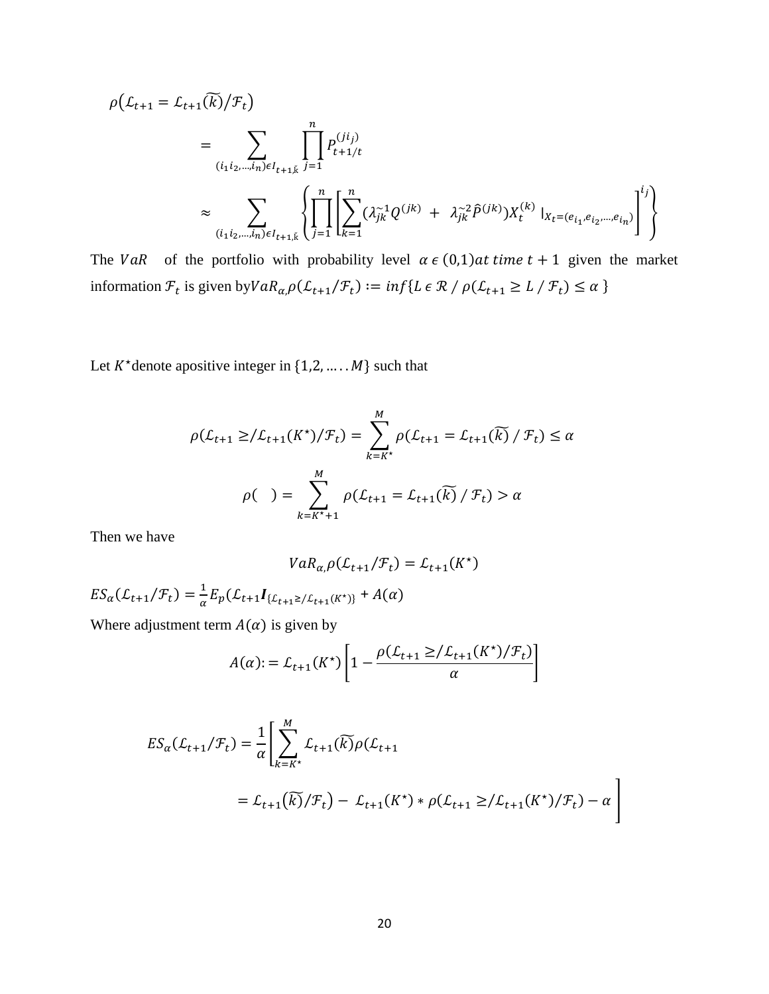$$
\rho(L_{t+1} = L_{t+1}(\widetilde{k})/\mathcal{F}_t)
$$
\n
$$
= \sum_{(i_1 i_2, \dots, i_n) \in I_{t+1,\breve{k}}} \prod_{j=1}^n P_{t+1/t}^{(ji_j)}
$$
\n
$$
\approx \sum_{(i_1 i_2, \dots, i_n) \in I_{t+1,\breve{k}}} \left\{ \prod_{j=1}^n \left[ \sum_{k=1}^n (\lambda_{jk}^{-1} Q^{(jk)} + \lambda_{jk}^{-2} \widehat{P}^{(jk)}) X_t^{(k)} \mid_{X_t = (e_{i_1}, e_{i_2}, \dots, e_{i_n})} \right]^{i_j} \right\}
$$

The VaR of the portfolio with probability level  $\alpha \in (0,1)$  at time  $t + 1$  given the market information  $\mathcal{F}_t$  is given by  $VaR_{\alpha,\beta}(\mathcal{L}_{t+1}/\mathcal{F}_t) := \inf\{L \in \mathcal{R} / \rho(\mathcal{L}_{t+1} \geq L / \mathcal{F}_t) \leq \alpha\}$ 

Let  $K^*$  denote apositive integer in  $\{1,2,\ldots,M\}$  such that

$$
\rho(\mathcal{L}_{t+1} \geq / \mathcal{L}_{t+1}(K^*) / \mathcal{F}_t) = \sum_{k=K^*}^{M} \rho(\mathcal{L}_{t+1} = \mathcal{L}_{t+1}(\widetilde{k}) / \mathcal{F}_t) \leq \alpha
$$
  

$$
\rho(\ ) = \sum_{k=K^*+1}^{M} \rho(\mathcal{L}_{t+1} = \mathcal{L}_{t+1}(\widetilde{k}) / \mathcal{F}_t) > \alpha
$$

Then we have

$$
VaR_{\alpha,\rho}(\mathcal{L}_{t+1}/\mathcal{F}_t)=\mathcal{L}_{t+1}(K^\star)
$$

 $ES_{\alpha}(\mathcal{L}_{t+1}/\mathcal{F}_{t}) = \frac{1}{\alpha}$  $\frac{1}{\alpha}E_p(\mathcal{L}_{t+1}I_{\{\mathcal{L}_{t+1}\geq/\mathcal{L}_{t+1}(K^*)\}}+A(\alpha))$ 

Where adjustment term  $A(\alpha)$  is given by

$$
A(\alpha) := \mathcal{L}_{t+1}(K^*) \left[ 1 - \frac{\rho(\mathcal{L}_{t+1} \geq / \mathcal{L}_{t+1}(K^*) / \mathcal{F}_t)}{\alpha} \right]
$$

$$
ES_{\alpha}(\mathcal{L}_{t+1}/\mathcal{F}_{t}) = \frac{1}{\alpha} \left[ \sum_{k=k^{*}}^{M} \mathcal{L}_{t+1}(\widetilde{k}) \rho(\mathcal{L}_{t+1}) + \mathcal{L}_{t+1}(\widetilde{k}) \rho(\mathcal{L}_{t+1}) \right]
$$
  
=  $\mathcal{L}_{t+1}(\widetilde{k})/\mathcal{F}_{t} - \mathcal{L}_{t+1}(K^{*}) * \rho(\mathcal{L}_{t+1} \geq / \mathcal{L}_{t+1}(K^{*})/\mathcal{F}_{t}) - \alpha \right]$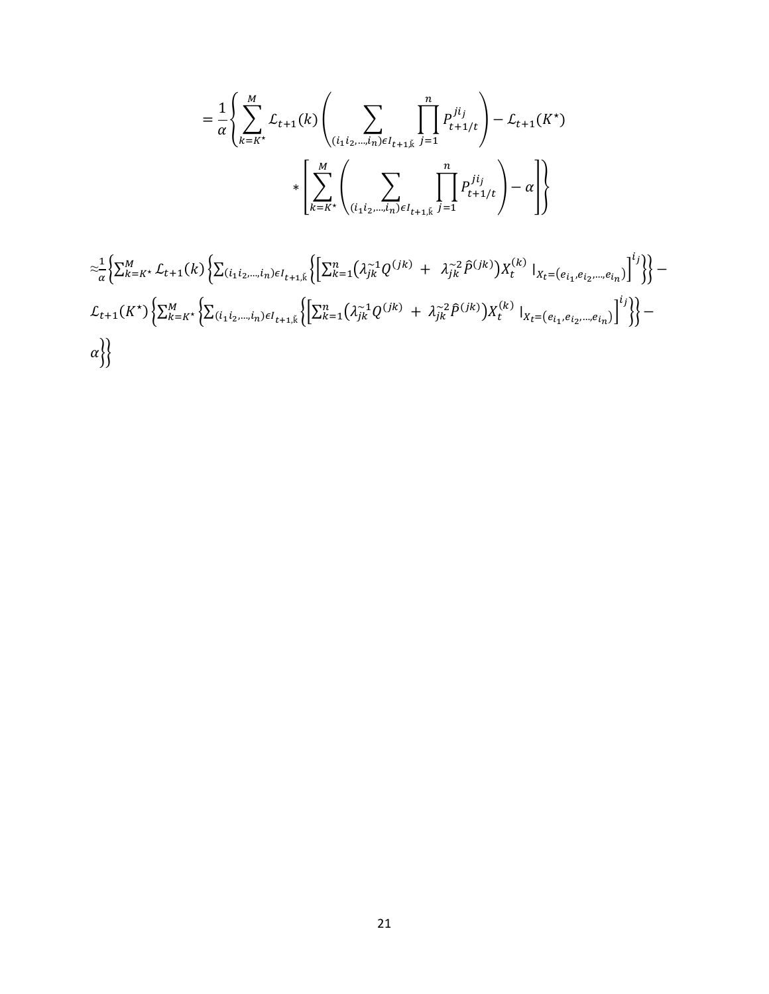$$
= \frac{1}{\alpha} \left\{ \sum_{k=k^*}^{M} \mathcal{L}_{t+1}(k) \left( \sum_{(i_1 i_2, \dots, i_n) \in I_{t+1,k}} \prod_{j=1}^n P_{t+1/t}^{ji_j} \right) - \mathcal{L}_{t+1}(K^*) \right\}
$$

$$
* \left[ \sum_{k=k^*}^{M} \left( \sum_{(i_1 i_2, \dots, i_n) \in I_{t+1,k}} \prod_{j=1}^n P_{t+1/t}^{ji_j} \right) - \alpha \right] \right\}
$$

$$
\begin{aligned}\n&\approx \frac{1}{\alpha} \Big\{ \sum_{k=k^*}^{M} \mathcal{L}_{t+1}(k) \Big\{ \sum_{(i_1 i_2, \dots, i_n) \in I_{t+1, \tilde{k}}} \Big\{ \Big[ \sum_{k=1}^{n} \big( \lambda_{jk}^{-1} Q^{(jk)} + \lambda_{jk}^{-2} \hat{P}^{(jk)} \big) X_t^{(k)} \Big|_{X_t = (e_{i_1}, e_{i_2}, \dots, e_{i_n})} \Big]^i \Big\} \Big\} - \mathcal{L}_{t+1}(K^*) \Big\{ \sum_{k=k^*}^{M} \Big\{ \sum_{(i_1 i_2, \dots, i_n) \in I_{t+1, \tilde{k}}} \Big\{ \Big[ \sum_{k=1}^{n} \big( \lambda_{jk}^{-1} Q^{(jk)} + \lambda_{jk}^{-2} \hat{P}^{(jk)} \big) X_t^{(k)} \Big|_{X_t = (e_{i_1}, e_{i_2}, \dots, e_{i_n})} \Big]^i \Big\} \Big\} - \alpha \Big\} \Big\}\n\end{aligned}
$$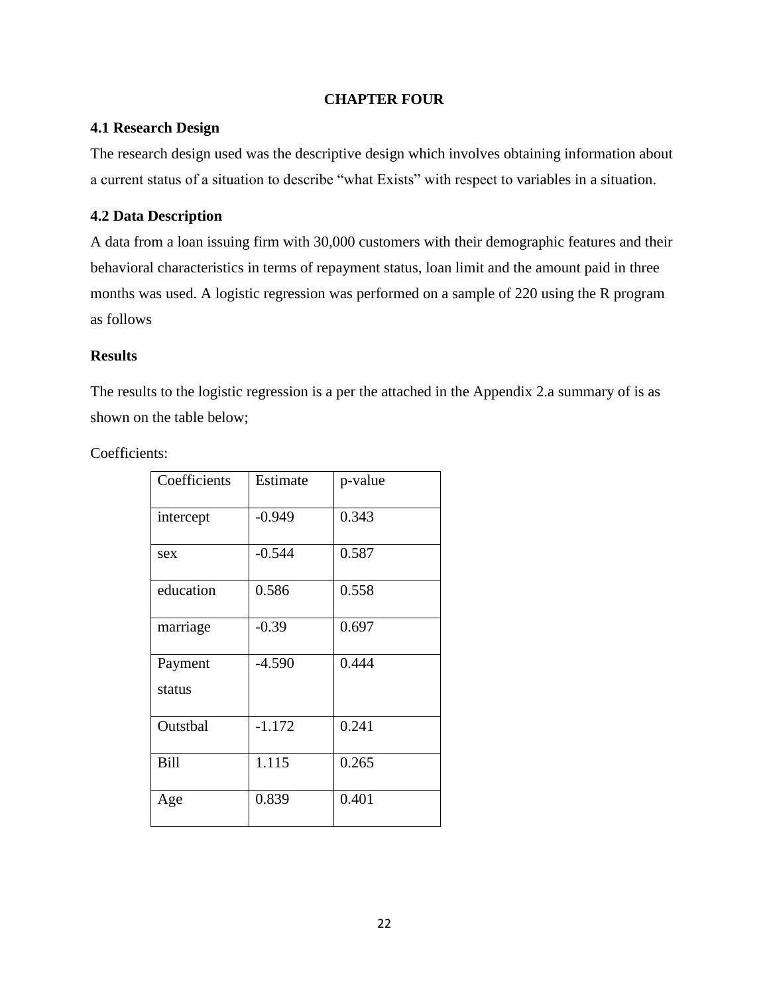## **CHAPTER FOUR**

## <span id="page-28-1"></span><span id="page-28-0"></span>**4.1 Research Design**

The research design used was the descriptive design which involves obtaining information about a current status of a situation to describe "what Exists" with respect to variables in a situation.

## <span id="page-28-2"></span>**4.2 Data Description**

A data from a loan issuing firm with 30,000 customers with their demographic features and their behavioral characteristics in terms of repayment status, loan limit and the amount paid in three months was used. A logistic regression was performed on a sample of 220 using the R program as follows

## **Results**

The results to the logistic regression is a per the attached in the Appendix 2.a summary of is as shown on the table below;

Coefficients:

| Coefficients      | Estimate | p-value |
|-------------------|----------|---------|
| intercept         | $-0.949$ | 0.343   |
| sex               | $-0.544$ | 0.587   |
| education         | 0.586    | 0.558   |
| marriage          | $-0.39$  | 0.697   |
| Payment<br>status | $-4.590$ | 0.444   |
| Outstbal          | $-1.172$ | 0.241   |
| Bill              | 1.115    | 0.265   |
| Age               | 0.839    | 0.401   |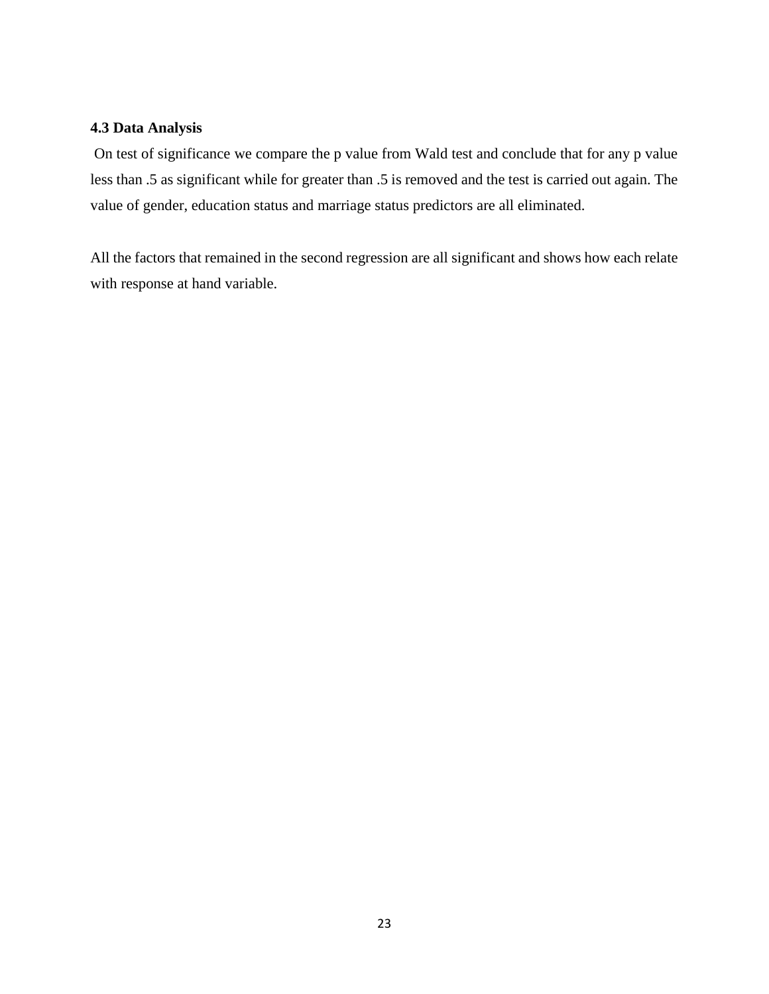## <span id="page-29-0"></span>**4.3 Data Analysis**

On test of significance we compare the p value from Wald test and conclude that for any p value less than .5 as significant while for greater than .5 is removed and the test is carried out again. The value of gender, education status and marriage status predictors are all eliminated.

All the factors that remained in the second regression are all significant and shows how each relate with response at hand variable.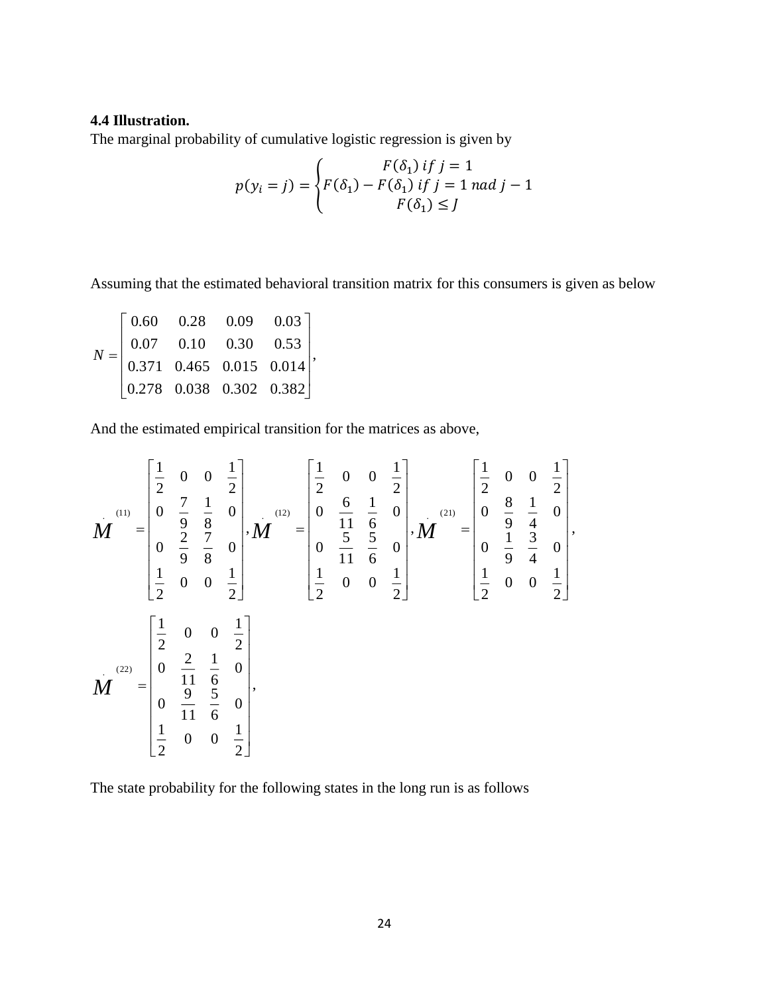## <span id="page-30-0"></span>**4.4 Illustration.**

The marginal probability of cumulative logistic regression is given by

$$
p(y_i = j) = \begin{cases} F(\delta_1) & \text{if } j = 1\\ F(\delta_1) - F(\delta_1) & \text{if } j = 1 \text{ and } j - 1\\ F(\delta_1) \leq j \end{cases}
$$

Assuming that the estimated behavioral transition matrix for this consumers is given as below

$$
N = \begin{bmatrix} 0.60 & 0.28 & 0.09 & 0.03 \\ 0.07 & 0.10 & 0.30 & 0.53 \\ 0.371 & 0.465 & 0.015 & 0.014 \\ 0.278 & 0.038 & 0.302 & 0.382 \end{bmatrix},
$$

And the estimated empirical transition for the matrices as above,

$$
\boldsymbol{M}^{(11)} = \begin{bmatrix} \frac{1}{2} & 0 & 0 & \frac{1}{2} \\ 0 & \frac{7}{9} & \frac{1}{8} & 0 \\ 0 & \frac{2}{9} & \frac{7}{8} & 0 \\ \frac{1}{2} & 0 & 0 & \frac{1}{2} \end{bmatrix}, \boldsymbol{M}^{(12)} = \begin{bmatrix} \frac{1}{2} & 0 & 0 & \frac{1}{2} \\ 0 & \frac{6}{11} & \frac{1}{6} & 0 \\ 0 & \frac{5}{11} & \frac{5}{6} & 0 \\ \frac{1}{2} & 0 & 0 & \frac{1}{2} \end{bmatrix}, \boldsymbol{M}^{(21)} = \begin{bmatrix} \frac{1}{2} & 0 & 0 & \frac{1}{2} \\ 0 & \frac{5}{11} & \frac{5}{6} & 0 \\ \frac{1}{2} & 0 & 0 & \frac{1}{2} \end{bmatrix}, \boldsymbol{M}^{(21)} = \begin{bmatrix} \frac{1}{2} & 0 & 0 & \frac{1}{2} \\ 0 & \frac{1}{9} & \frac{3}{4} & 0 \\ \frac{1}{2} & 0 & 0 & \frac{1}{2} \end{bmatrix}, \boldsymbol{M}^{(22)} = \begin{bmatrix} \frac{1}{2} & 0 & 0 & \frac{1}{2} \\ \frac{1}{2} & 0 & 0 & \frac{1}{2} \end{bmatrix}
$$

The state probability for the following states in the long run is as follows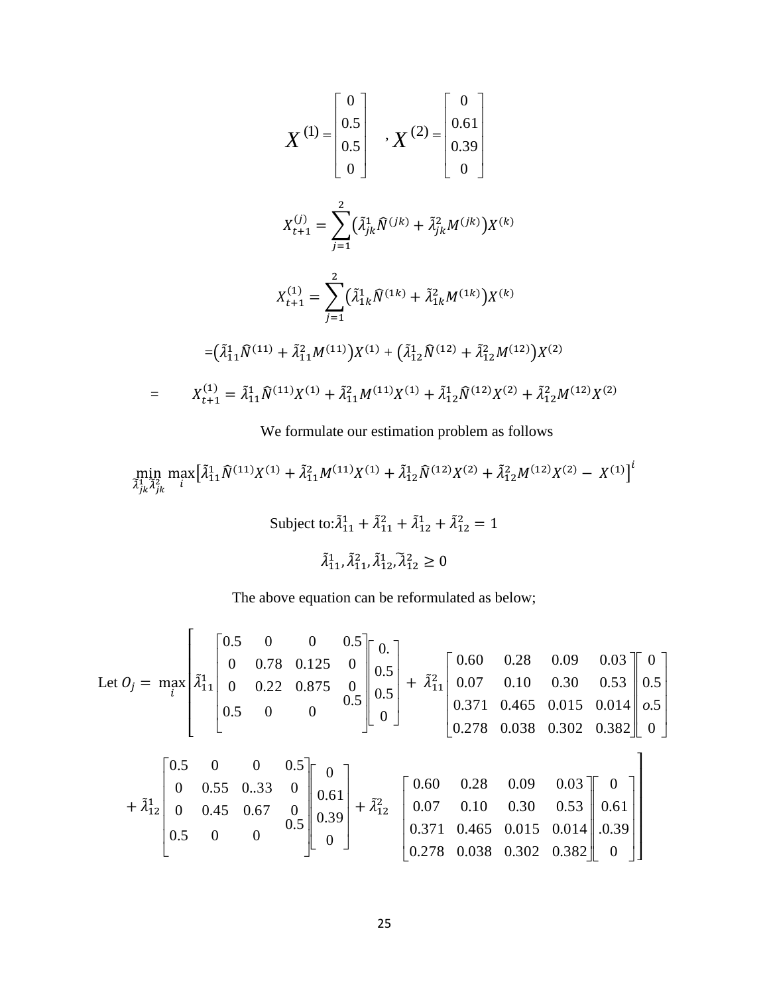$$
X^{(1)} = \begin{bmatrix} 0 \\ 0.5 \\ 0.5 \\ 0 \end{bmatrix} , X^{(2)} = \begin{bmatrix} 0 \\ 0.61 \\ 0.39 \\ 0 \end{bmatrix}
$$
  

$$
X_{t+1}^{(j)} = \sum_{j=1}^{2} (\tilde{\lambda}_{jk}^{1} \tilde{N}^{(jk)} + \tilde{\lambda}_{jk}^{2} M^{(jk)}) X^{(k)}
$$
  

$$
X_{t+1}^{(1)} = \sum_{j=1}^{2} (\tilde{\lambda}_{1k}^{1} \tilde{N}^{(1k)} + \tilde{\lambda}_{1k}^{2} M^{(1k)}) X^{(k)}
$$
  

$$
= (\tilde{\lambda}_{11}^{1} \tilde{N}^{(11)} + \tilde{\lambda}_{11}^{2} M^{(11)}) X^{(1)} + (\tilde{\lambda}_{12}^{1} \tilde{N}^{(12)} + \tilde{\lambda}_{12}^{2} M^{(12)}) X^{(2)}
$$
  

$$
= X_{t+1}^{(1)} = \tilde{\lambda}_{11}^{1} \tilde{N}^{(11)} X^{(1)} + \tilde{\lambda}_{11}^{2} M^{(11)} X^{(1)} + \tilde{\lambda}_{12}^{1} \tilde{N}^{(12)} X^{(2)} + \tilde{\lambda}_{12}^{2} M^{(12)} X^{(2)}
$$

We formulate our estimation problem as follows

$$
\min_{\tilde{\lambda}_{jk}^1\tilde{\lambda}_{jk}^2} \max_i \left[ \tilde{\lambda}_{11}^1 \hat{N}^{(11)} X^{(1)} + \tilde{\lambda}_{11}^2 M^{(11)} X^{(1)} + \tilde{\lambda}_{12}^1 \hat{N}^{(12)} X^{(2)} + \tilde{\lambda}_{12}^2 M^{(12)} X^{(2)} - X^{(1)} \right]^i
$$

Subject to: 
$$
\tilde{\lambda}_{11}^1 + \tilde{\lambda}_{11}^2 + \tilde{\lambda}_{12}^1 + \tilde{\lambda}_{12}^2 = 1
$$
  

$$
\tilde{\lambda}_{11}^1, \tilde{\lambda}_{11}^2, \tilde{\lambda}_{12}^1, \tilde{\lambda}_{12}^2 \ge 0
$$

The above equation can be reformulated as below;

Let 
$$
O_j
$$
 =  $\max_{i}$   $\begin{bmatrix} 0.5 & 0 & 0 & 0.5 \\ 0 & 0.78 & 0.125 & 0 \\ 0 & 0.22 & 0.875 & 0 \\ 0.5 & 0 & 0 & 0.5 \end{bmatrix} \begin{bmatrix} 0.5 \\ 0.5 \\ 0.5 \end{bmatrix} + \tilde{\lambda}_{11}^2 \begin{bmatrix} 0.60 & 0.28 & 0.09 & 0.03 \\ 0.07 & 0.10 & 0.30 & 0.53 \\ 0.371 & 0.465 & 0.015 & 0.014 \\ 0.278 & 0.038 & 0.302 & 0.382 \end{bmatrix} \begin{bmatrix} 0 \\ 0.5 \\ 0.5 \end{bmatrix}$   
+  $\tilde{\lambda}_{12}^1 \begin{bmatrix} 0.5 & 0 & 0 & 0.5 \\ 0 & 0.55 & 0.03 & 0 \\ 0.45 & 0.67 & 0 \\ 0.5 & 0 & 0 \end{bmatrix} \begin{bmatrix} 0 \\ 0.61 \\ 0.39 \\ 0.39 \end{bmatrix} + \tilde{\lambda}_{12}^2 \begin{bmatrix} 0.60 & 0.28 & 0.09 & 0.03 \\ 0.07 & 0.10 & 0.30 & 0.53 \\ 0.371 & 0.465 & 0.015 & 0.014 \\ 0.371 & 0.465 & 0.015 & 0.014 \\ 0.278 & 0.038 & 0.302 & 0.382 \end{bmatrix} \begin{bmatrix} 0 \\ 0.61 \\ 0.39 \\ 0.39 \end{bmatrix}$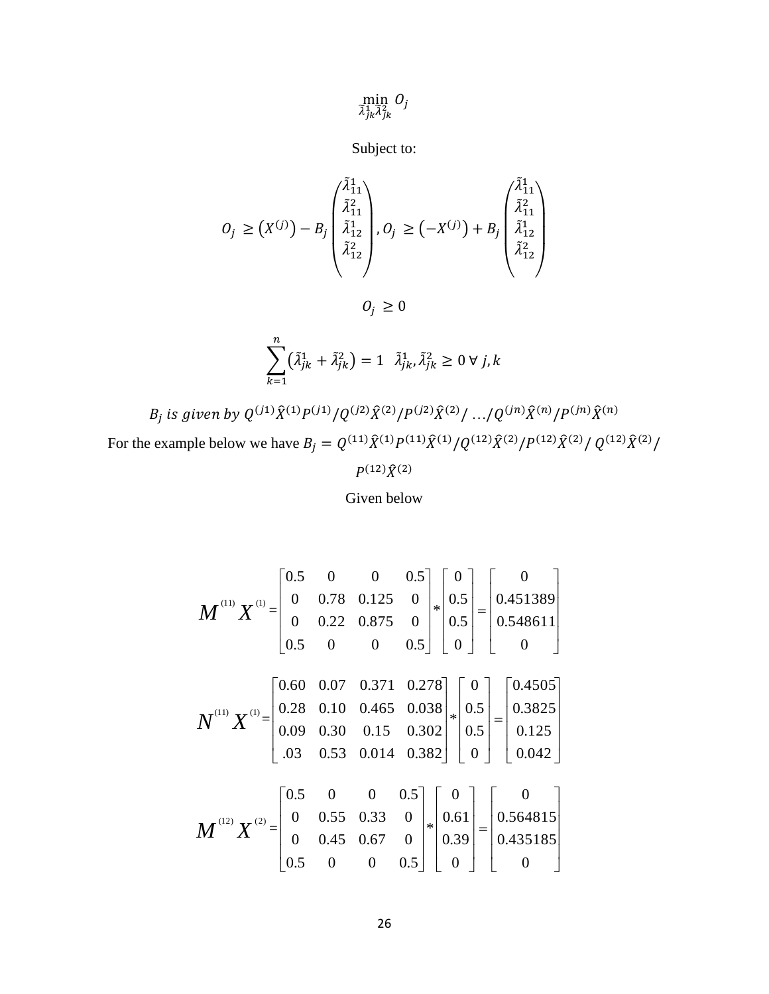$\min_{\widetilde{\lambda}_{jk}^1 \widetilde{\lambda}_{jk}^2} O_j$ 

Subject to:

$$
O_j \geq (X^{(j)}) - B_j \begin{pmatrix} \tilde{\lambda}_{11}^1 \\ \tilde{\lambda}_{11}^2 \\ \tilde{\lambda}_{12}^2 \\ \tilde{\lambda}_{12}^2 \end{pmatrix}, O_j \geq (-X^{(j)}) + B_j \begin{pmatrix} \tilde{\lambda}_{11}^1 \\ \tilde{\lambda}_{11}^2 \\ \tilde{\lambda}_{12}^2 \\ \tilde{\lambda}_{12}^2 \end{pmatrix}
$$

 $O_j \geq 0$ 

$$
\sum_{k=1}^{n} (\tilde{\lambda}_{jk}^{1} + \tilde{\lambda}_{jk}^{2}) = 1 \quad \tilde{\lambda}_{jk}^{1}, \tilde{\lambda}_{jk}^{2} \ge 0 \,\forall \, j, k
$$

 $B_j$  is given by  $Q^{(j1)}\widehat{X}^{(1)}P^{(j1)}/Q^{(j2)}\widehat{X}^{(2)}/P^{(j2)}\widehat{X}^{(2)}/\ldots /Q^{(jn)}\widehat{X}^{(n)}/P^{(jn)}\widehat{X}^{(n)}$ For the example below we have  $B_j = Q^{(11)} \hat{X}^{(1)} P^{(11)} \hat{X}^{(1)} / Q^{(12)} \hat{X}^{(2)} / P^{(12)} \hat{X}^{(2)} / Q^{(12)} \hat{X}^{(2)} /$ 

 $P^{(12)}\hat{X}^{(2)}$ 

Given below

$$
M^{^{(11)}}X^{^{(1)}} = \begin{bmatrix} 0.5 & 0 & 0 & 0.5 \\ 0 & 0.78 & 0.125 & 0 \\ 0 & 0.22 & 0.875 & 0 \\ 0.5 & 0 & 0 & 0.5 \end{bmatrix} \begin{bmatrix} 0 \\ 0.5 \\ 0.5 \end{bmatrix} = \begin{bmatrix} 0 \\ 0.451389 \\ 0.548611 \\ 0 \end{bmatrix}
$$
  
\n
$$
N^{^{(11)}}X^{^{(1)}} = \begin{bmatrix} 0.60 & 0.07 & 0.371 & 0.278 \\ 0.28 & 0.10 & 0.465 & 0.038 \\ 0.09 & 0.30 & 0.15 & 0.302 \\ 0.3 & 0.53 & 0.014 & 0.382 \end{bmatrix} \begin{bmatrix} 0 \\ 0.5 \\ 0.5 \end{bmatrix} = \begin{bmatrix} 0.4505 \\ 0.3825 \\ 0.125 \\ 0.042 \end{bmatrix}
$$
  
\n
$$
M^{^{(12)}}X^{^{(2)}} = \begin{bmatrix} 0.5 & 0 & 0 & 0.5 \\ 0 & 0.55 & 0.33 & 0 \\ 0 & 0.45 & 0.67 & 0 \\ 0.5 & 0 & 0 & 0.5 \end{bmatrix} \begin{bmatrix} 0 \\ 0.61 \\ 0.39 \end{bmatrix} = \begin{bmatrix} 0 \\ 0.564815 \\ 0.435185 \\ 0 \end{bmatrix}
$$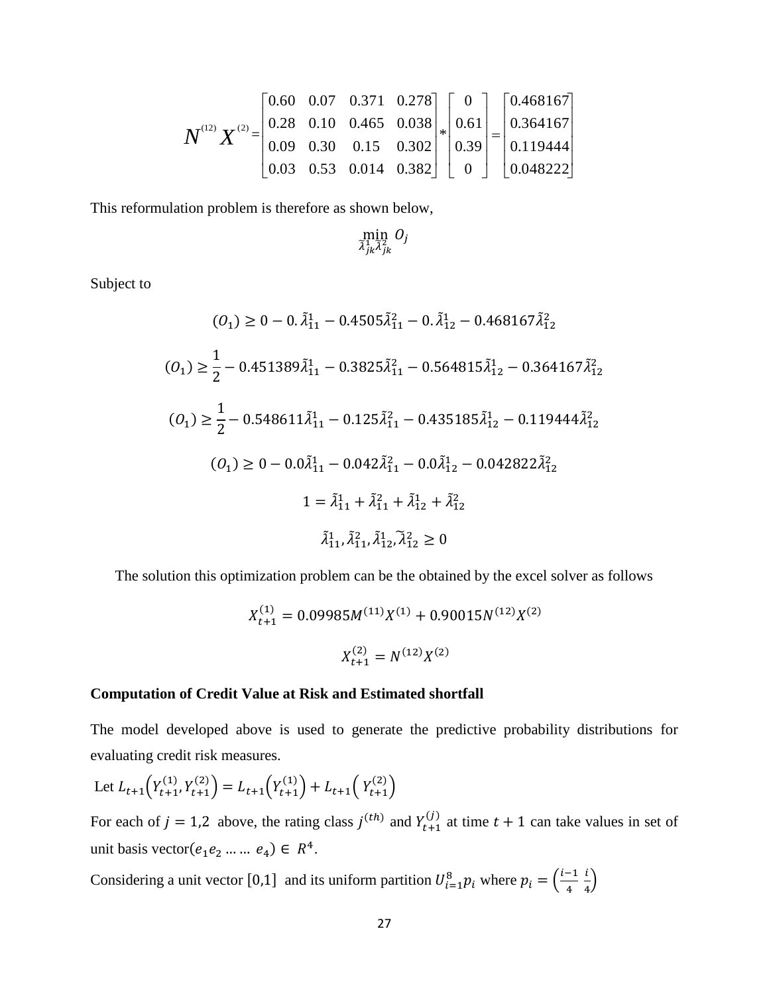$$
\boldsymbol{N}^{^{(12)}}\boldsymbol{X}^{^{(2)}} = \begin{bmatrix} 0.60 & 0.07 & 0.371 & 0.278 \\ 0.28 & 0.10 & 0.465 & 0.038 \\ 0.09 & 0.30 & 0.15 & 0.302 \\ 0.03 & 0.53 & 0.014 & 0.382 \end{bmatrix} \begin{bmatrix} 0 \\ 0.61 \\ 0.39 \\ 0 \end{bmatrix} = \begin{bmatrix} 0.468167 \\ 0.364167 \\ 0.119444 \\ 0.048222 \end{bmatrix}
$$

This reformulation problem is therefore as shown below,

$$
\min_{\widetilde{\lambda}_{jk}^1\widetilde{\lambda}_{jk}^2} O_j
$$

Subject to

$$
(0_1) \ge 0 - 0.\tilde{\lambda}_{11}^1 - 0.4505\tilde{\lambda}_{11}^2 - 0.\tilde{\lambda}_{12}^1 - 0.468167\tilde{\lambda}_{12}^2
$$
\n
$$
(0_1) \ge \frac{1}{2} - 0.451389\tilde{\lambda}_{11}^1 - 0.3825\tilde{\lambda}_{11}^2 - 0.564815\tilde{\lambda}_{12}^1 - 0.364167\tilde{\lambda}_{12}^2
$$
\n
$$
(0_1) \ge \frac{1}{2} - 0.548611\tilde{\lambda}_{11}^1 - 0.125\tilde{\lambda}_{11}^2 - 0.435185\tilde{\lambda}_{12}^1 - 0.119444\tilde{\lambda}_{12}^2
$$
\n
$$
(0_1) \ge 0 - 0.0\tilde{\lambda}_{11}^1 - 0.042\tilde{\lambda}_{11}^2 - 0.0\tilde{\lambda}_{12}^1 - 0.042822\tilde{\lambda}_{12}^2
$$
\n
$$
1 = \tilde{\lambda}_{11}^1 + \tilde{\lambda}_{11}^2 + \tilde{\lambda}_{12}^2 + \tilde{\lambda}_{12}^2
$$
\n
$$
\tilde{\lambda}_{11}^1, \tilde{\lambda}_{11}^2, \tilde{\lambda}_{12}^1, \tilde{\lambda}_{12}^2 \ge 0
$$

The solution this optimization problem can be the obtained by the excel solver as follows

$$
X_{t+1}^{(1)} = 0.09985M^{(11)}X^{(1)} + 0.90015N^{(12)}X^{(2)}
$$
  

$$
X_{t+1}^{(2)} = N^{(12)}X^{(2)}
$$

#### **Computation of Credit Value at Risk and Estimated shortfall**

The model developed above is used to generate the predictive probability distributions for evaluating credit risk measures.

Let 
$$
L_{t+1}(Y_{t+1}^{(1)}, Y_{t+1}^{(2)}) = L_{t+1}(Y_{t+1}^{(1)}) + L_{t+1}(Y_{t+1}^{(2)})
$$

For each of  $j = 1,2$  above, the rating class  $j^{(th)}$  and  $Y_{t+1}^{(j)}$  at time  $t + 1$  can take values in set of unit basis vector $(e_1e_2 \dots \dots e_4) \in R^4$ .

Considering a unit vector [0,1] and its uniform partition  $U_{i=1}^8 p_i$  where  $p_i = \left(\frac{i-1}{4}\right)^4$ 4 i  $\frac{1}{4}$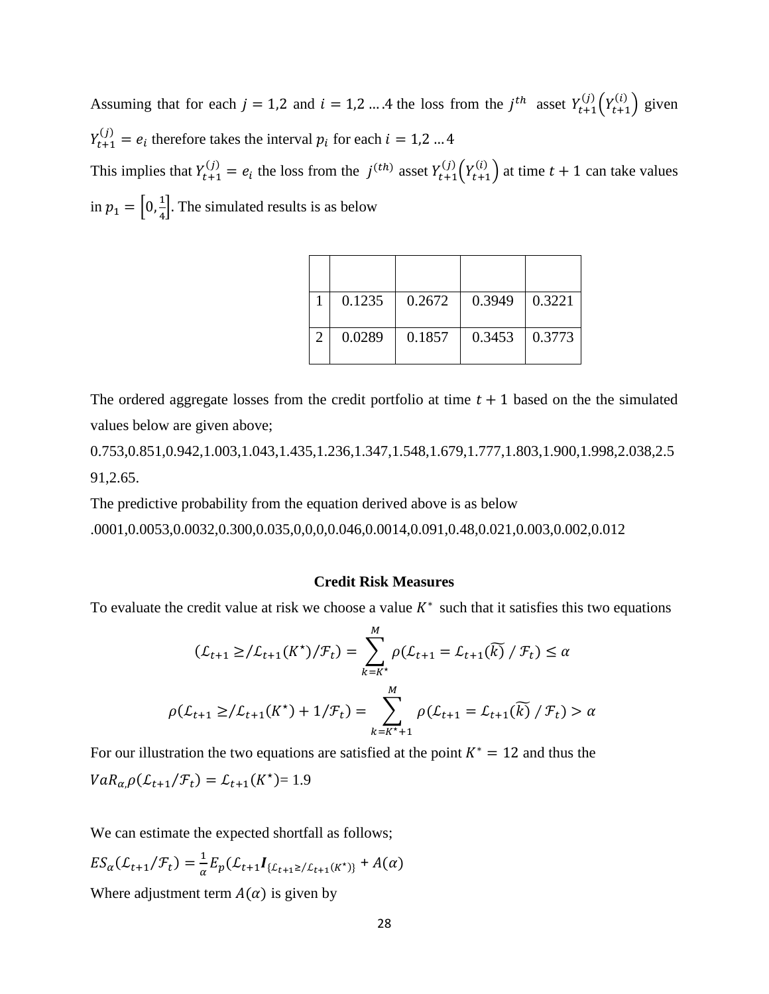Assuming that for each  $j = 1, 2$  and  $i = 1, 2, \ldots, 4$  the loss from the  $j^{th}$  asset  $Y_{t+1}^{(j)}\left(Y_{t+1}^{(i)}\right)$  given  $Y_{t+1}^{(j)} = e_i$  therefore takes the interval  $p_i$  for each  $i = 1, 2, \dots 4$ This implies that  $Y_{t+1}^{(j)} = e_i$  the loss from the  $j^{(th)}$  asset  $Y_{t+1}^{(j)} (Y_{t+1}^{(i)})$  at time  $t + 1$  can take values in  $p_1 = \left[0, \frac{1}{4}\right]$  $\frac{1}{4}$ . The simulated results is as below

|                       | 0.1235 | 0.2672 | 0.3949 | 0.3221 |
|-----------------------|--------|--------|--------|--------|
| $\mathcal{D}_{\cdot}$ | 0.0289 | 0.1857 | 0.3453 | 0.3773 |

The ordered aggregate losses from the credit portfolio at time  $t + 1$  based on the the simulated values below are given above;

0.753,0.851,0.942,1.003,1.043,1.435,1.236,1.347,1.548,1.679,1.777,1.803,1.900,1.998,2.038,2.5 91,2.65.

The predictive probability from the equation derived above is as below

.0001,0.0053,0.0032,0.300,0.035,0,0,0,0.046,0.0014,0.091,0.48,0.021,0.003,0.002,0.012

## **Credit Risk Measures**

To evaluate the credit value at risk we choose a value  $K^*$  such that it satisfies this two equations

$$
(\mathcal{L}_{t+1} \geq / \mathcal{L}_{t+1}(K^*) / \mathcal{F}_t) = \sum_{k=K^*}^{M} \rho(\mathcal{L}_{t+1} = \mathcal{L}_{t+1}(\widetilde{k}) / \mathcal{F}_t) \leq \alpha
$$
  

$$
\rho(\mathcal{L}_{t+1} \geq / \mathcal{L}_{t+1}(K^*) + 1 / \mathcal{F}_t) = \sum_{k=K^*+1}^{M} \rho(\mathcal{L}_{t+1} = \mathcal{L}_{t+1}(\widetilde{k}) / \mathcal{F}_t) > \alpha
$$

For our illustration the two equations are satisfied at the point  $K^* = 12$  and thus the  $VaR_{\alpha,\rho}(\mathcal{L}_{t+1}/\mathcal{F}_{t}) = \mathcal{L}_{t+1}(K^{\star}) = 1.9$ 

We can estimate the expected shortfall as follows;

$$
ES_{\alpha}(\mathcal{L}_{t+1}/\mathcal{F}_{t}) = \frac{1}{\alpha} E_{p}(\mathcal{L}_{t+1}I_{\{\mathcal{L}_{t+1}\geq/\mathcal{L}_{t+1}(K^*)\}} + A(\alpha))
$$

Where adjustment term  $A(\alpha)$  is given by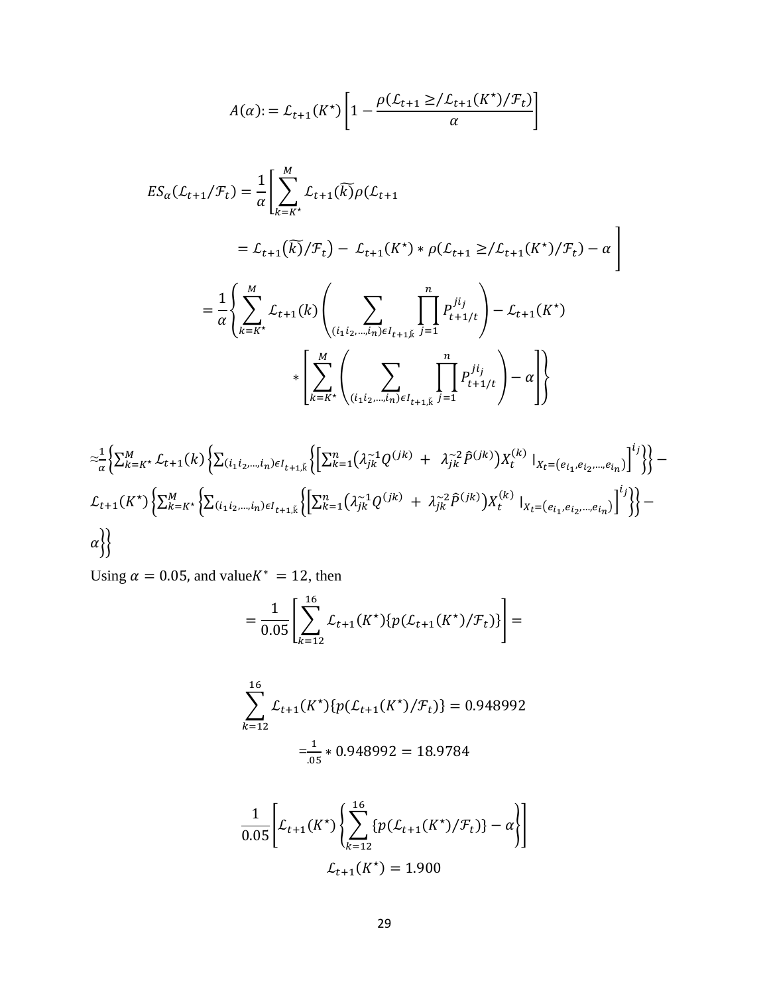$$
A(\alpha) := \mathcal{L}_{t+1}(K^*) \left[ 1 - \frac{\rho(\mathcal{L}_{t+1} \geq / \mathcal{L}_{t+1}(K^*) / \mathcal{F}_t)}{\alpha} \right]
$$

$$
ES_{\alpha}(L_{t+1}/\mathcal{F}_{t}) = \frac{1}{\alpha} \Biggl[ \sum_{k=k^{*}}^{M} L_{t+1}(\widetilde{k}) \rho(L_{t+1})
$$
  
\n
$$
= L_{t+1}(\widetilde{k}) / \mathcal{F}_{t}) - L_{t+1}(K^{*}) * \rho(L_{t+1} \geq L_{t+1}(K^{*}) / \mathcal{F}_{t}) - \alpha \Biggr]
$$
  
\n
$$
= \frac{1}{\alpha} \Biggl\{ \sum_{k=k^{*}}^{M} L_{t+1}(k) \Biggl( \sum_{(i_{1}i_{2},...,i_{n}) \in I_{t+1,\widetilde{k}}} \prod_{j=1}^{n} P_{t+1/t}^{i_{j}} \Biggr) - L_{t+1}(K^{*})
$$
  
\n
$$
* \Biggl[ \sum_{k=k^{*}}^{M} \Biggl( \sum_{(i_{1}i_{2},...,i_{n}) \in I_{t+1,\widetilde{k}}} \prod_{j=1}^{n} P_{t+1/t}^{i_{j}} \Biggr) - \alpha \Biggr] \Biggr\}
$$

$$
\begin{aligned}\n&\approx \frac{1}{\alpha} \Big\{ \sum_{k=k^*}^{M} \mathcal{L}_{t+1}(k) \Big\{ \sum_{(i_1 i_2, \ldots, i_n) \in I_{t+1,\breve{k}}} \Big\{ \Big[ \sum_{k=1}^{n} \big( \lambda_{jk}^{-1} Q^{(jk)} + \lambda_{jk}^{-2} \hat{P}^{(jk)} \big) X_t^{(k)} \big|_{X_t = (e_{i_1}, e_{i_2}, \ldots, e_{i_n})} \Big]^i \Big\} \Big\} - \\ \mathcal{L}_{t+1}(K^*) \Big\{ \sum_{k=k^*}^{M} \Big\{ \sum_{(i_1 i_2, \ldots, i_n) \in I_{t+1,\breve{k}}} \Big\{ \Big[ \sum_{k=1}^{n} \big( \lambda_{jk}^{-1} Q^{(jk)} + \lambda_{jk}^{-2} \hat{P}^{(jk)} \big) X_t^{(k)} \big|_{X_t = (e_{i_1}, e_{i_2}, \ldots, e_{i_n})} \Big]^i \Big\} \Big\} - \\ \alpha \Big\} \Big\} \end{aligned}
$$

Using  $\alpha = 0.05$ , and value $K^* = 12$ , then

$$
=\frac{1}{0.05}\left[\sum_{k=12}^{16} \mathcal{L}_{t+1}(K^*)\{p(\mathcal{L}_{t+1}(K^*)/\mathcal{F}_t)\}\right]=
$$

$$
\sum_{k=12}^{16} \mathcal{L}_{t+1}(K^*) \{ p(\mathcal{L}_{t+1}(K^*) / \mathcal{F}_t) \} = 0.948992
$$
  

$$
= \frac{1}{.05} * 0.948992 = 18.9784
$$

$$
\frac{1}{0.05} \left[ \mathcal{L}_{t+1}(K^*) \left\{ \sum_{k=12}^{16} \{ p(\mathcal{L}_{t+1}(K^*) / \mathcal{F}_t) \} - \alpha \right\} \right]
$$

$$
\mathcal{L}_{t+1}(K^*) = 1.900
$$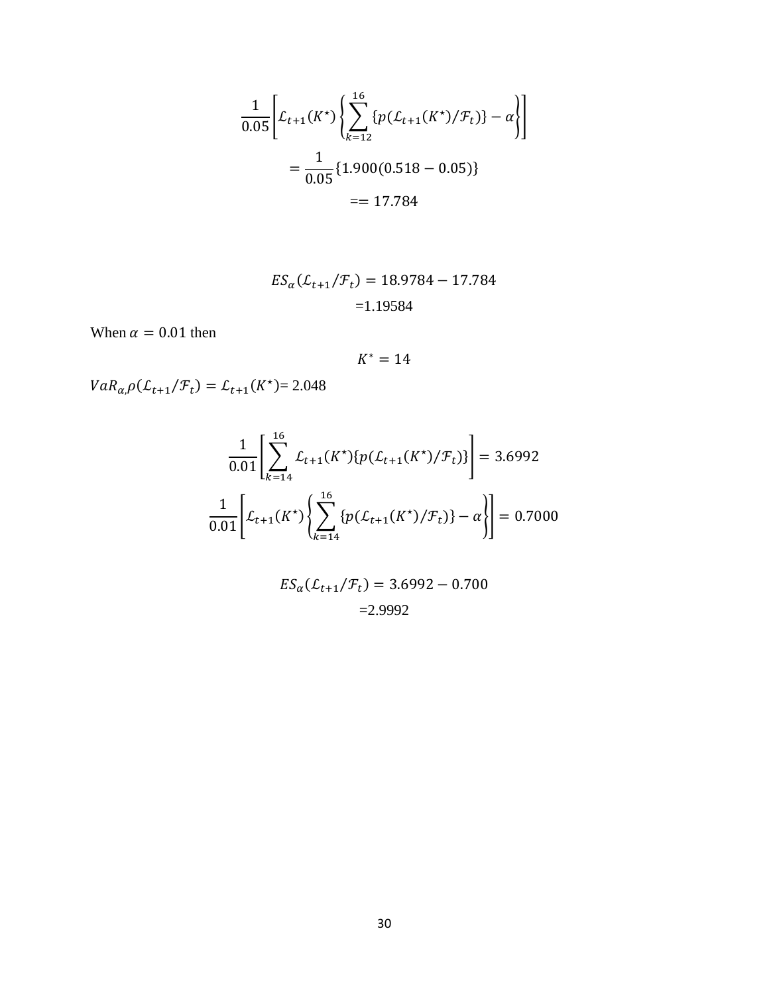$$
\frac{1}{0.05} \left[ \mathcal{L}_{t+1}(K^*) \left\{ \sum_{k=12}^{16} \{ p(\mathcal{L}_{t+1}(K^*) / \mathcal{F}_t) \} - \alpha \right\} \right]
$$

$$
= \frac{1}{0.05} \{ 1.900(0.518 - 0.05) \}
$$

$$
= 17.784
$$

$$
ES_{\alpha}(\mathcal{L}_{t+1}/\mathcal{F}_t) = 18.9784 - 17.784
$$

$$
= 1.19584
$$

When  $\alpha = 0.01$  then

 $K^* = 14$ 

 $VaR_{\alpha,\beta}(\mathcal{L}_{t+1}/\mathcal{F}_t) = \mathcal{L}_{t+1}(K^{\star}) = 2.048$ 

$$
\frac{1}{0.01} \left[ \sum_{k=14}^{16} \mathcal{L}_{t+1}(K^*) \{ p(\mathcal{L}_{t+1}(K^*) / \mathcal{F}_t) \} \right] = 3.6992
$$
  

$$
\frac{1}{0.01} \left[ \mathcal{L}_{t+1}(K^*) \{ \sum_{k=14}^{16} \{ p(\mathcal{L}_{t+1}(K^*) / \mathcal{F}_t) \} - \alpha \} \right] = 0.7000
$$

$$
ES_{\alpha}(\mathcal{L}_{t+1}/\mathcal{F}_{t}) = 3.6992 - 0.700
$$
  
=2.9992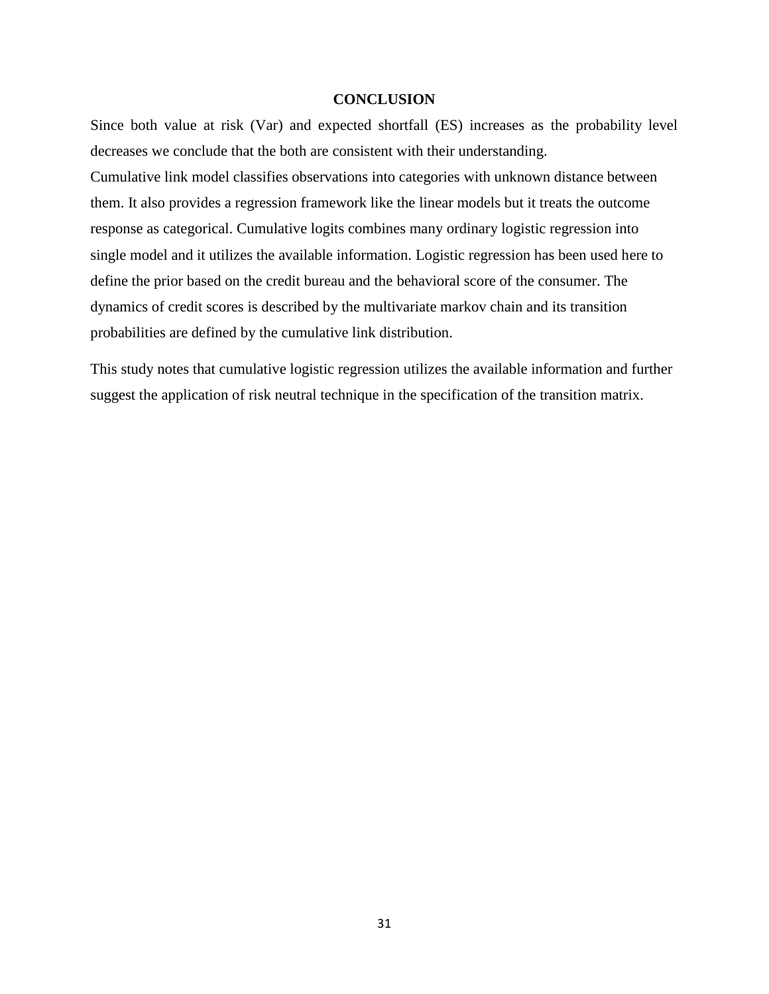#### **CONCLUSION**

<span id="page-37-0"></span>Since both value at risk (Var) and expected shortfall (ES) increases as the probability level decreases we conclude that the both are consistent with their understanding.

Cumulative link model classifies observations into categories with unknown distance between them. It also provides a regression framework like the linear models but it treats the outcome response as categorical. Cumulative logits combines many ordinary logistic regression into single model and it utilizes the available information. Logistic regression has been used here to define the prior based on the credit bureau and the behavioral score of the consumer. The dynamics of credit scores is described by the multivariate markov chain and its transition probabilities are defined by the cumulative link distribution.

This study notes that cumulative logistic regression utilizes the available information and further suggest the application of risk neutral technique in the specification of the transition matrix.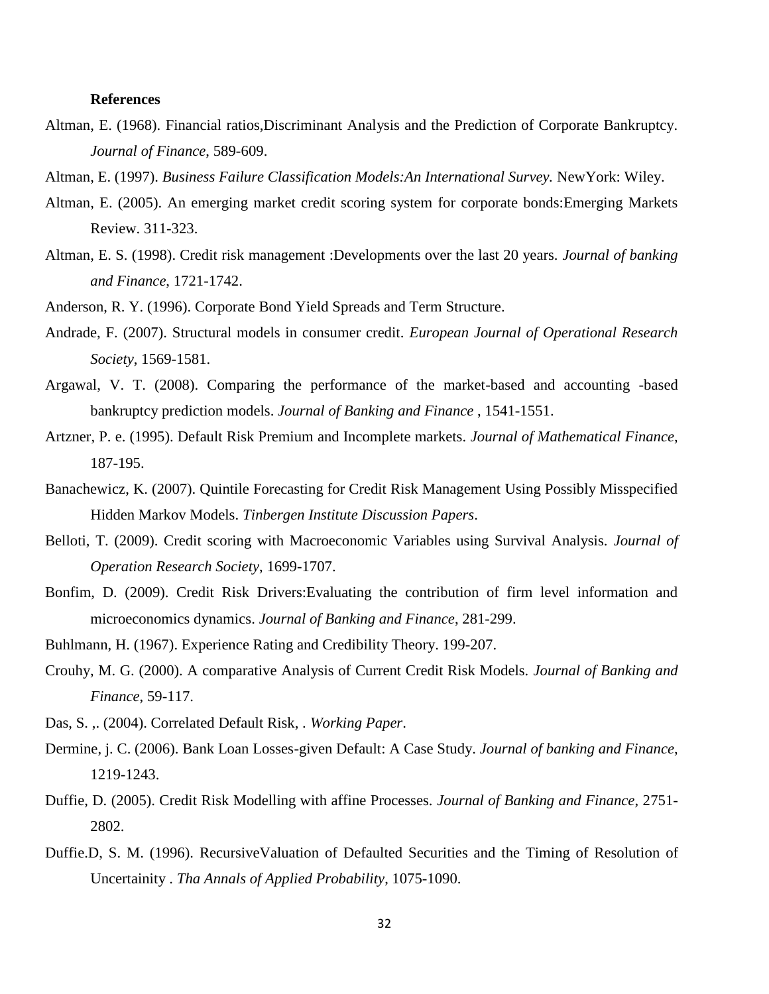#### <span id="page-38-0"></span>**References**

- Altman, E. (1968). Financial ratios,Discriminant Analysis and the Prediction of Corporate Bankruptcy. *Journal of Finance*, 589-609.
- Altman, E. (1997). *Business Failure Classification Models:An International Survey.* NewYork: Wiley.
- Altman, E. (2005). An emerging market credit scoring system for corporate bonds:Emerging Markets Review. 311-323.
- Altman, E. S. (1998). Credit risk management :Developments over the last 20 years. *Journal of banking and Finance*, 1721-1742.
- Anderson, R. Y. (1996). Corporate Bond Yield Spreads and Term Structure.
- Andrade, F. (2007). Structural models in consumer credit. *European Journal of Operational Research Society*, 1569-1581.
- Argawal, V. T. (2008). Comparing the performance of the market-based and accounting -based bankruptcy prediction models. *Journal of Banking and Finance* , 1541-1551.
- Artzner, P. e. (1995). Default Risk Premium and Incomplete markets. *Journal of Mathematical Finance*, 187-195.
- Banachewicz, K. (2007). Quintile Forecasting for Credit Risk Management Using Possibly Misspecified Hidden Markov Models. *Tinbergen Institute Discussion Papers*.
- Belloti, T. (2009). Credit scoring with Macroeconomic Variables using Survival Analysis. *Journal of Operation Research Society*, 1699-1707.
- Bonfim, D. (2009). Credit Risk Drivers:Evaluating the contribution of firm level information and microeconomics dynamics. *Journal of Banking and Finance*, 281-299.
- Buhlmann, H. (1967). Experience Rating and Credibility Theory. 199-207.
- Crouhy, M. G. (2000). A comparative Analysis of Current Credit Risk Models. *Journal of Banking and Finance*, 59-117.
- Das, S. ,. (2004). Correlated Default Risk, . *Working Paper*.
- Dermine, j. C. (2006). Bank Loan Losses-given Default: A Case Study. *Journal of banking and Finance*, 1219-1243.
- Duffie, D. (2005). Credit Risk Modelling with affine Processes. *Journal of Banking and Finance*, 2751- 2802.
- Duffie.D, S. M. (1996). RecursiveValuation of Defaulted Securities and the Timing of Resolution of Uncertainity . *Tha Annals of Applied Probability*, 1075-1090.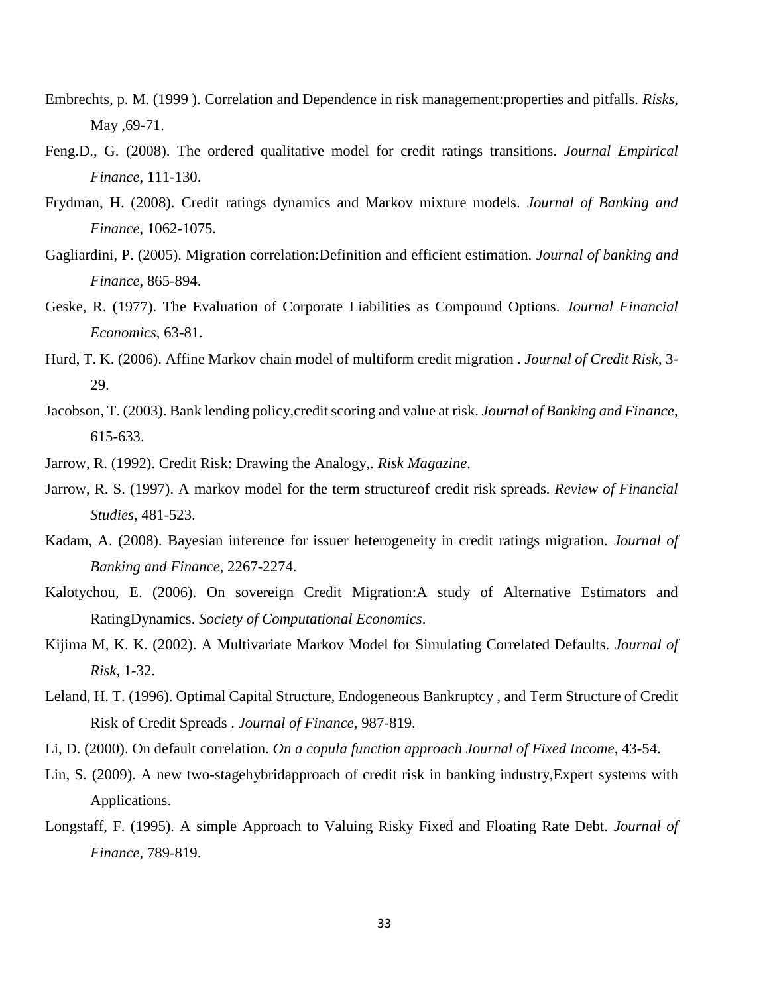- Embrechts, p. M. (1999 ). Correlation and Dependence in risk management:properties and pitfalls. *Risks*, May , 69-71.
- Feng.D., G. (2008). The ordered qualitative model for credit ratings transitions. *Journal Empirical Finance*, 111-130.
- Frydman, H. (2008). Credit ratings dynamics and Markov mixture models. *Journal of Banking and Finance*, 1062-1075.
- Gagliardini, P. (2005). Migration correlation:Definition and efficient estimation. *Journal of banking and Finance*, 865-894.
- Geske, R. (1977). The Evaluation of Corporate Liabilities as Compound Options. *Journal Financial Economics*, 63-81.
- Hurd, T. K. (2006). Affine Markov chain model of multiform credit migration . *Journal of Credit Risk*, 3- 29.
- Jacobson, T. (2003). Bank lending policy,credit scoring and value at risk. *Journal of Banking and Finance*, 615-633.
- Jarrow, R. (1992). Credit Risk: Drawing the Analogy,. *Risk Magazine*.
- Jarrow, R. S. (1997). A markov model for the term structureof credit risk spreads. *Review of Financial Studies*, 481-523.
- Kadam, A. (2008). Bayesian inference for issuer heterogeneity in credit ratings migration. *Journal of Banking and Finance*, 2267-2274.
- Kalotychou, E. (2006). On sovereign Credit Migration:A study of Alternative Estimators and RatingDynamics. *Society of Computational Economics*.
- Kijima M, K. K. (2002). A Multivariate Markov Model for Simulating Correlated Defaults. *Journal of Risk*, 1-32.
- Leland, H. T. (1996). Optimal Capital Structure, Endogeneous Bankruptcy , and Term Structure of Credit Risk of Credit Spreads . *Journal of Finance*, 987-819.
- Li, D. (2000). On default correlation. *On a copula function approach Journal of Fixed Income*, 43-54.
- Lin, S. (2009). A new two-stagehybridapproach of credit risk in banking industry,Expert systems with Applications.
- Longstaff, F. (1995). A simple Approach to Valuing Risky Fixed and Floating Rate Debt. *Journal of Finance*, 789-819.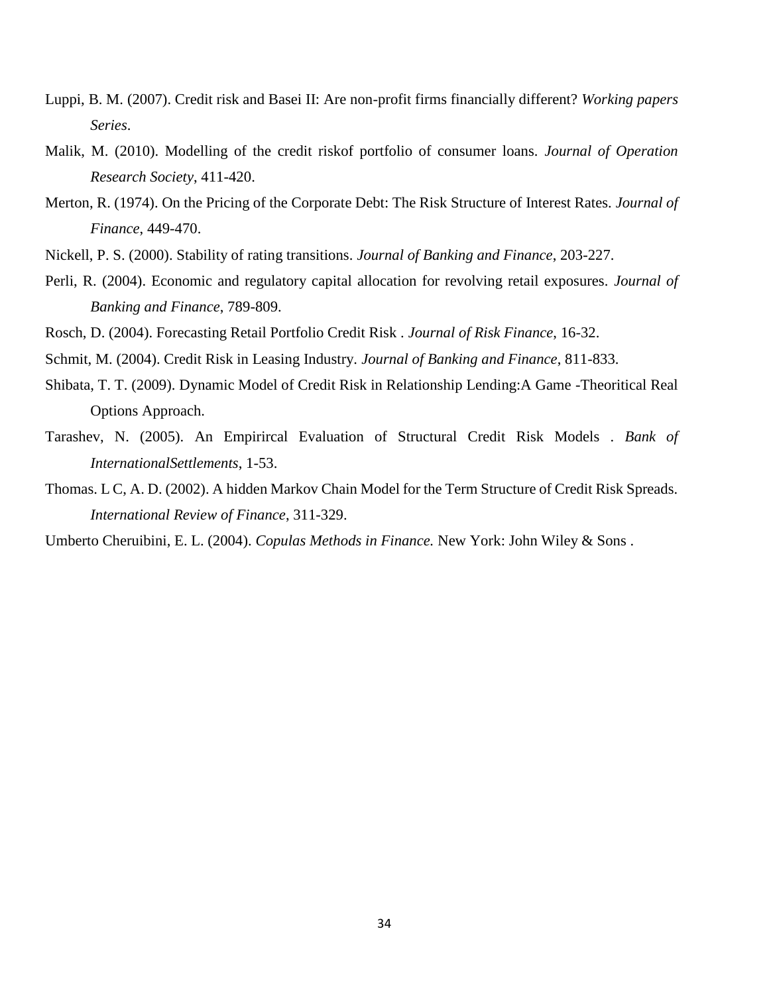- Luppi, B. M. (2007). Credit risk and Basei II: Are non-profit firms financially different? *Working papers Series*.
- Malik, M. (2010). Modelling of the credit riskof portfolio of consumer loans. *Journal of Operation Research Society*, 411-420.
- Merton, R. (1974). On the Pricing of the Corporate Debt: The Risk Structure of Interest Rates. *Journal of Finance*, 449-470.
- Nickell, P. S. (2000). Stability of rating transitions. *Journal of Banking and Finance*, 203-227.
- Perli, R. (2004). Economic and regulatory capital allocation for revolving retail exposures. *Journal of Banking and Finance*, 789-809.
- Rosch, D. (2004). Forecasting Retail Portfolio Credit Risk . *Journal of Risk Finance*, 16-32.
- Schmit, M. (2004). Credit Risk in Leasing Industry. *Journal of Banking and Finance*, 811-833.
- Shibata, T. T. (2009). Dynamic Model of Credit Risk in Relationship Lending:A Game -Theoritical Real Options Approach.
- Tarashev, N. (2005). An Empirircal Evaluation of Structural Credit Risk Models . *Bank of InternationalSettlements*, 1-53.
- Thomas. L C, A. D. (2002). A hidden Markov Chain Model for the Term Structure of Credit Risk Spreads. *International Review of Finance*, 311-329.

Umberto Cheruibini, E. L. (2004). *Copulas Methods in Finance.* New York: John Wiley & Sons .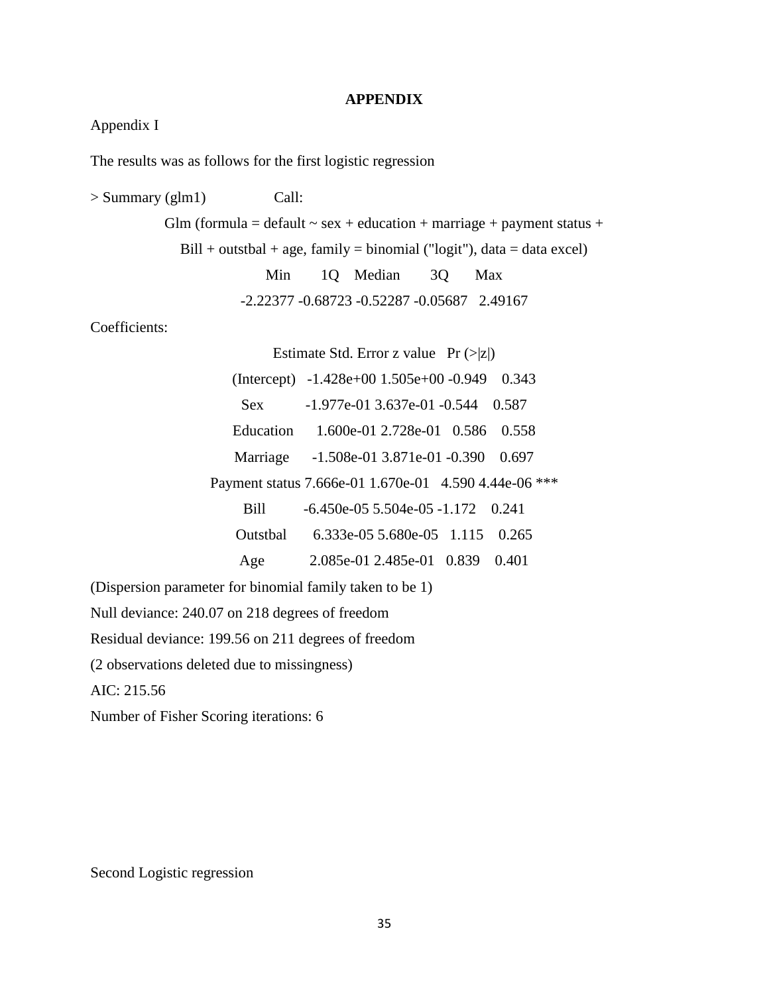#### **APPENDIX**

### <span id="page-41-0"></span>Appendix I

The results was as follows for the first logistic regression

> Summary (glm1) Call: Glm (formula = default  $\sim$  sex + education + marriage + payment status +  $Bill + outstbal + age, family = binomial ("logit"), data = data excel)$ Min 1Q Median 3Q Max -2.22377 -0.68723 -0.52287 -0.05687 2.49167 Coefficients: Estimate Std. Error z value  $Pr (> |z|)$ (Intercept) -1.428e+00 1.505e+00 -0.949 0.343 Sex  $-1.977e-01$  3.637e-01 -0.544 0.587 Education 1.600e-01 2.728e-01 0.586 0.558 Marriage -1.508e-01 3.871e-01 -0.390 0.697 Payment status 7.666e-01 1.670e-01 4.590 4.44e-06 \*\*\* Bill -6.450e-05 5.504e-05 -1.172 0.241 Outstbal 6.333e-05 5.680e-05 1.115 0.265 Age 2.085e-01 2.485e-01 0.839 0.401 (Dispersion parameter for binomial family taken to be 1) Null deviance: 240.07 on 218 degrees of freedom Residual deviance: 199.56 on 211 degrees of freedom (2 observations deleted due to missingness) AIC: 215.56

Number of Fisher Scoring iterations: 6

Second Logistic regression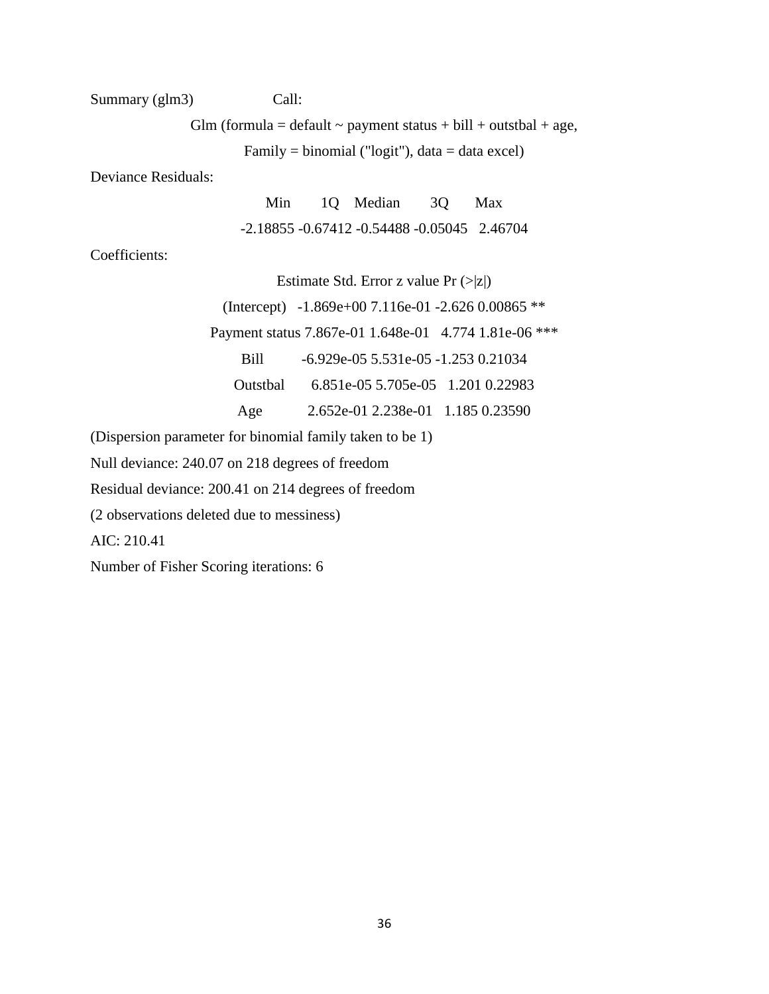### Summary (glm3) Call:

Glm (formula = default  $\sim$  payment status + bill + outstbal + age,

Family = binomial ("logit"), data = data excel)

Deviance Residuals:

Min 1Q Median 3Q Max -2.18855 -0.67412 -0.54488 -0.05045 2.46704

Coefficients:

Estimate Std. Error z value  $Pr(z|z|)$ 

(Intercept) -1.869e+00 7.116e-01 -2.626 0.00865 \*\*

Payment status 7.867e-01 1.648e-01 4.774 1.81e-06 \*\*\*

Bill -6.929e-05 5.531e-05 -1.253 0.21034

Outstbal 6.851e-05 5.705e-05 1.201 0.22983

Age 2.652e-01 2.238e-01 1.185 0.23590

(Dispersion parameter for binomial family taken to be 1)

Null deviance: 240.07 on 218 degrees of freedom

Residual deviance: 200.41 on 214 degrees of freedom

(2 observations deleted due to messiness)

AIC: 210.41

Number of Fisher Scoring iterations: 6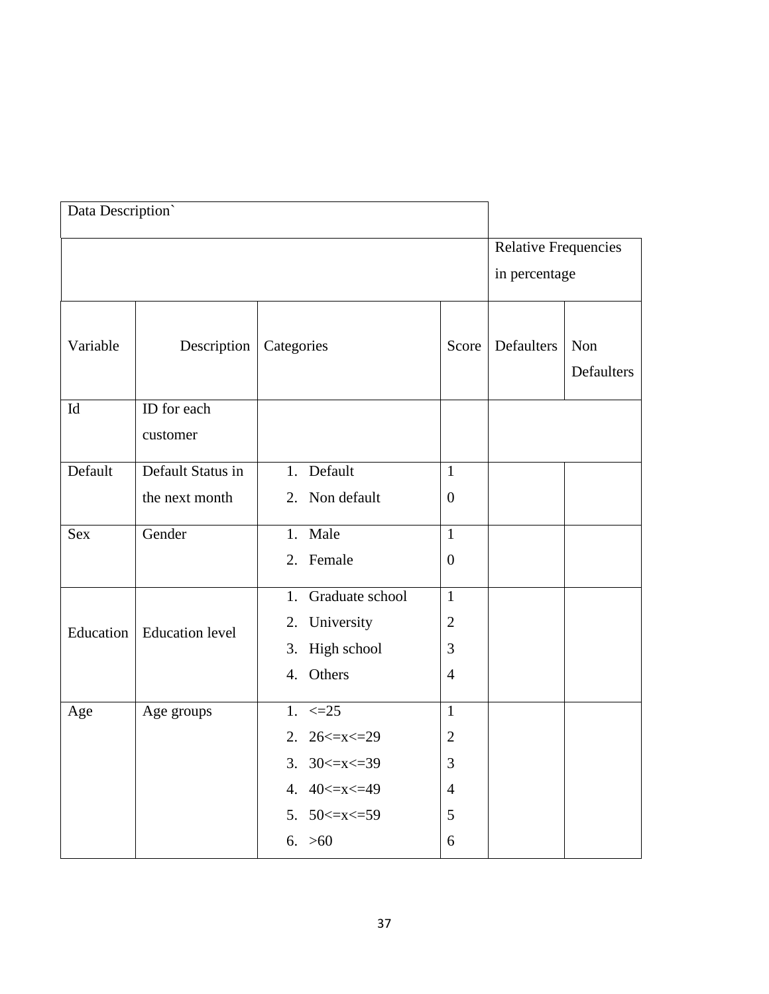| Data Description` |                        |                      |                  |                                              |                   |
|-------------------|------------------------|----------------------|------------------|----------------------------------------------|-------------------|
|                   |                        |                      |                  | <b>Relative Frequencies</b><br>in percentage |                   |
|                   |                        |                      |                  |                                              |                   |
| Variable          | Description            | Categories           | Score            | Defaulters                                   | Non<br>Defaulters |
| Id                | ID for each            |                      |                  |                                              |                   |
|                   | customer               |                      |                  |                                              |                   |
| Default           | Default Status in      | 1. Default           | $\mathbf{1}$     |                                              |                   |
|                   | the next month         | 2. Non default       | $\boldsymbol{0}$ |                                              |                   |
| <b>Sex</b>        | Gender                 | 1. Male              | $\mathbf{1}$     |                                              |                   |
|                   |                        | 2. Female            | $\boldsymbol{0}$ |                                              |                   |
|                   |                        | 1. Graduate school   | $\mathbf{1}$     |                                              |                   |
| Education         | <b>Education</b> level | 2. University        | $\overline{2}$   |                                              |                   |
|                   |                        | 3. High school       | 3                |                                              |                   |
|                   |                        | 4. Others            | $\overline{4}$   |                                              |                   |
| Age               | Age groups             | 1. $\leq 25$         | $\mathbf{1}$     |                                              |                   |
|                   |                        | 2. $26 \le x \le 29$ | $\overline{2}$   |                                              |                   |
|                   |                        | 3. $30 \le x \le 39$ | 3                |                                              |                   |
|                   |                        | 4. $40 \le x \le 49$ | $\overline{4}$   |                                              |                   |
|                   |                        | 5. $50 \le x \le 59$ | 5                |                                              |                   |
|                   |                        | 6. > 60              | 6                |                                              |                   |